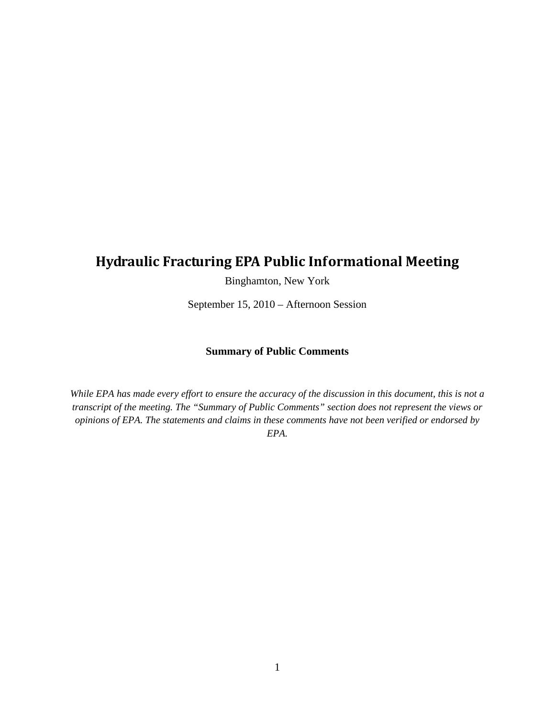# **Hydraulic Fracturing EPA Public Informational Meeting**

Binghamton, New York

September 15, 2010 – Afternoon Session

#### **Summary of Public Comments**

*While EPA has made every effort to ensure the accuracy of the discussion in this document, this is not a transcript of the meeting. The "Summary of Public Comments" section does not represent the views or opinions of EPA. The statements and claims in these comments have not been verified or endorsed by EPA.*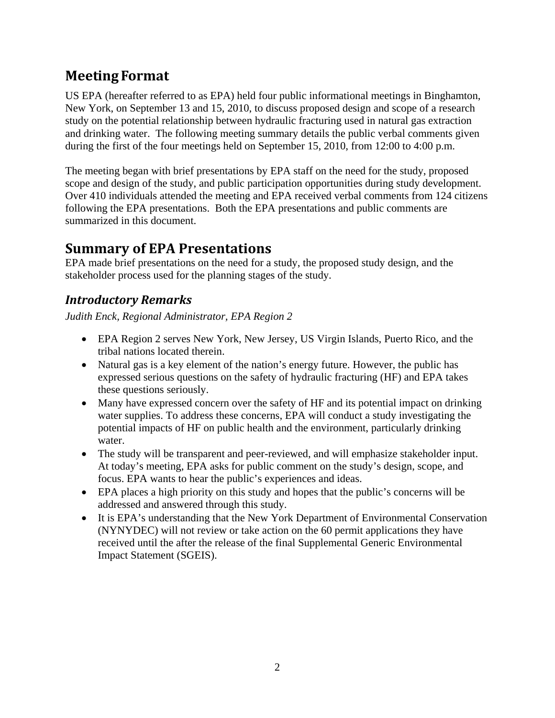# **Meeting Format**

US EPA (hereafter referred to as EPA) held four public informational meetings in Binghamton, New York, on September 13 and 15, 2010, to discuss proposed design and scope of a research study on the potential relationship between hydraulic fracturing used in natural gas extraction and drinking water. The following meeting summary details the public verbal comments given during the first of the four meetings held on September 15, 2010, from 12:00 to 4:00 p.m.

The meeting began with brief presentations by EPA staff on the need for the study, proposed scope and design of the study, and public participation opportunities during study development. Over 410 individuals attended the meeting and EPA received verbal comments from 124 citizens following the EPA presentations. Both the EPA presentations and public comments are summarized in this document.

# **Summary of EPA Presentations**

EPA made brief presentations on the need for a study, the proposed study design, and the stakeholder process used for the planning stages of the study.

### *Introductory Remarks*

*Judith Enck, Regional Administrator, EPA Region 2* 

- EPA Region 2 serves New York, New Jersey, US Virgin Islands, Puerto Rico, and the tribal nations located therein.
- Natural gas is a key element of the nation's energy future. However, the public has expressed serious questions on the safety of hydraulic fracturing (HF) and EPA takes these questions seriously.
- Many have expressed concern over the safety of HF and its potential impact on drinking water supplies. To address these concerns, EPA will conduct a study investigating the potential impacts of HF on public health and the environment, particularly drinking water.
- The study will be transparent and peer-reviewed, and will emphasize stakeholder input. At today's meeting, EPA asks for public comment on the study's design, scope, and focus. EPA wants to hear the public's experiences and ideas.
- EPA places a high priority on this study and hopes that the public's concerns will be addressed and answered through this study.
- It is EPA's understanding that the New York Department of Environmental Conservation (NYNYDEC) will not review or take action on the 60 permit applications they have received until the after the release of the final Supplemental Generic Environmental Impact Statement (SGEIS).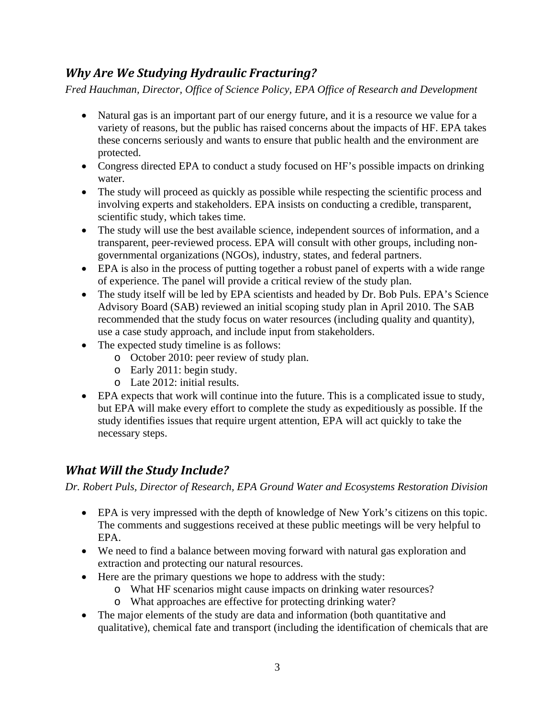## *Why Are We Studying Hydraulic Fracturing?*

*Fred Hauchman, Director, Office of Science Policy, EPA Office of Research and Development* 

- Natural gas is an important part of our energy future, and it is a resource we value for a variety of reasons, but the public has raised concerns about the impacts of HF. EPA takes these concerns seriously and wants to ensure that public health and the environment are protected.
- Congress directed EPA to conduct a study focused on HF's possible impacts on drinking water.
- The study will proceed as quickly as possible while respecting the scientific process and involving experts and stakeholders. EPA insists on conducting a credible, transparent, scientific study, which takes time.
- The study will use the best available science, independent sources of information, and a transparent, peer-reviewed process. EPA will consult with other groups, including nongovernmental organizations (NGOs), industry, states, and federal partners.
- EPA is also in the process of putting together a robust panel of experts with a wide range of experience. The panel will provide a critical review of the study plan.
- The study itself will be led by EPA scientists and headed by Dr. Bob Puls. EPA's Science Advisory Board (SAB) reviewed an initial scoping study plan in April 2010. The SAB recommended that the study focus on water resources (including quality and quantity), use a case study approach, and include input from stakeholders.
- The expected study timeline is as follows:
	- o October 2010: peer review of study plan.
	- o Early 2011: begin study.
	- o Late 2012: initial results.
- EPA expects that work will continue into the future. This is a complicated issue to study, but EPA will make every effort to complete the study as expeditiously as possible. If the study identifies issues that require urgent attention, EPA will act quickly to take the necessary steps.

### *What Will the Study Include?*

*Dr. Robert Puls, Director of Research, EPA Ground Water and Ecosystems Restoration Division* 

- EPA is very impressed with the depth of knowledge of New York's citizens on this topic. The comments and suggestions received at these public meetings will be very helpful to EPA.
- We need to find a balance between moving forward with natural gas exploration and extraction and protecting our natural resources.
- Here are the primary questions we hope to address with the study:
	- o What HF scenarios might cause impacts on drinking water resources?
	- o What approaches are effective for protecting drinking water?
- The major elements of the study are data and information (both quantitative and qualitative), chemical fate and transport (including the identification of chemicals that are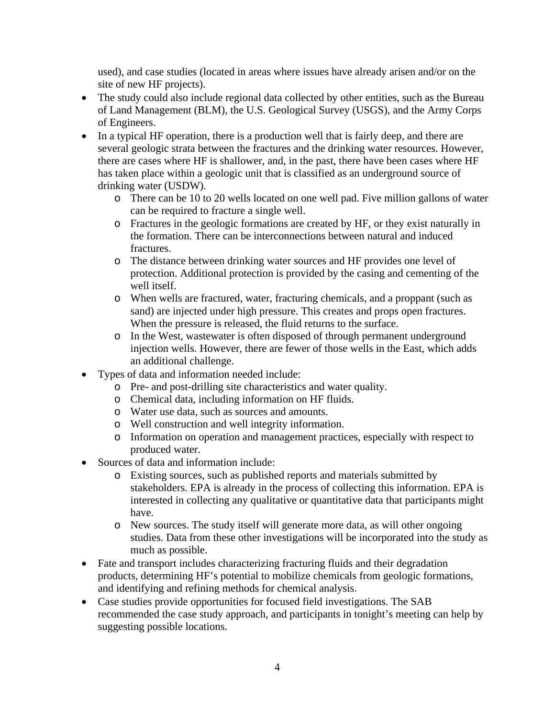used), and case studies (located in areas where issues have already arisen and/or on the site of new HF projects).

- The study could also include regional data collected by other entities, such as the Bureau of Land Management (BLM), the U.S. Geological Survey (USGS), and the Army Corps of Engineers.
- In a typical HF operation, there is a production well that is fairly deep, and there are several geologic strata between the fractures and the drinking water resources. However, there are cases where HF is shallower, and, in the past, there have been cases where HF has taken place within a geologic unit that is classified as an underground source of drinking water (USDW).
	- o There can be 10 to 20 wells located on one well pad. Five million gallons of water can be required to fracture a single well.
	- o Fractures in the geologic formations are created by HF, or they exist naturally in the formation. There can be interconnections between natural and induced fractures.
	- o The distance between drinking water sources and HF provides one level of protection. Additional protection is provided by the casing and cementing of the well itself.
	- o When wells are fractured, water, fracturing chemicals, and a proppant (such as sand) are injected under high pressure. This creates and props open fractures. When the pressure is released, the fluid returns to the surface.
	- o In the West, wastewater is often disposed of through permanent underground injection wells. However, there are fewer of those wells in the East, which adds an additional challenge.
- Types of data and information needed include:
	- o Pre- and post-drilling site characteristics and water quality.
	- o Chemical data, including information on HF fluids.
	- o Water use data, such as sources and amounts.
	- o Well construction and well integrity information.
	- o Information on operation and management practices, especially with respect to produced water.
- Sources of data and information include:
	- o Existing sources, such as published reports and materials submitted by stakeholders. EPA is already in the process of collecting this information. EPA is interested in collecting any qualitative or quantitative data that participants might have.
	- o New sources. The study itself will generate more data, as will other ongoing studies. Data from these other investigations will be incorporated into the study as much as possible.
- Fate and transport includes characterizing fracturing fluids and their degradation products, determining HF's potential to mobilize chemicals from geologic formations, and identifying and refining methods for chemical analysis.
- Case studies provide opportunities for focused field investigations. The SAB recommended the case study approach, and participants in tonight's meeting can help by suggesting possible locations.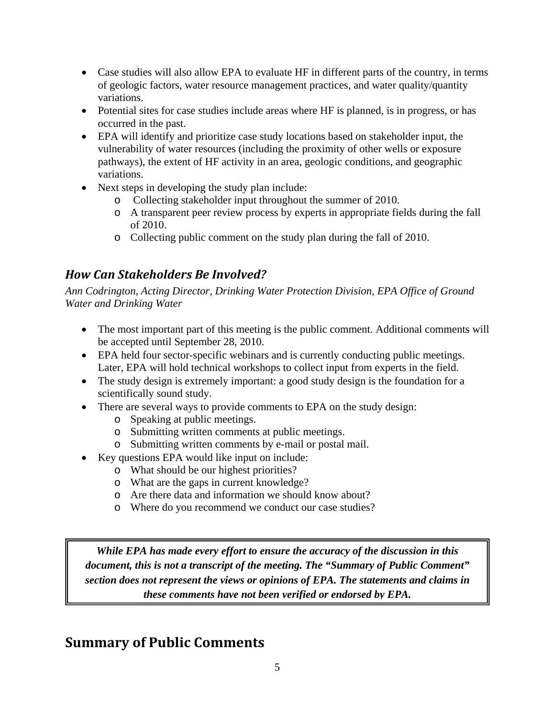- Case studies will also allow EPA to evaluate HF in different parts of the country, in terms of geologic factors, water resource management practices, and water quality/quantity variations.
- Potential sites for case studies include areas where HF is planned, is in progress, or has occurred in the past.
- EPA will identify and prioritize case study locations based on stakeholder input, the vulnerability of water resources (including the proximity of other wells or exposure pathways), the extent of HF activity in an area, geologic conditions, and geographic variations.
- Next steps in developing the study plan include:
	- o Collecting stakeholder input throughout the summer of 2010.
	- o A transparent peer review process by experts in appropriate fields during the fall of 2010.
	- o Collecting public comment on the study plan during the fall of 2010.

# *How Can Stakeholders Be Involved?*

*Ann Codrington, Acting Director, Drinking Water Protection Division, EPA Office of Ground Water and Drinking Water* 

- The most important part of this meeting is the public comment. Additional comments will be accepted until September 28, 2010.
- EPA held four sector-specific webinars and is currently conducting public meetings. Later, EPA will hold technical workshops to collect input from experts in the field.
- The study design is extremely important: a good study design is the foundation for a scientifically sound study.
- There are several ways to provide comments to EPA on the study design:
	- o Speaking at public meetings.
	- o Submitting written comments at public meetings.
	- o Submitting written comments by e-mail or postal mail.
- Key questions EPA would like input on include:
	- o What should be our highest priorities?
	- o What are the gaps in current knowledge?
	- o Are there data and information we should know about?
	- o Where do you recommend we conduct our case studies?

*While EPA has made every effort to ensure the accuracy of the discussion in this document, this is not a transcript of the meeting. The "Summary of Public Comment" section does not represent the views or opinions of EPA. The statements and claims in these comments have not been verified or endorsed by EPA.* 

# **Summary of Public Comments**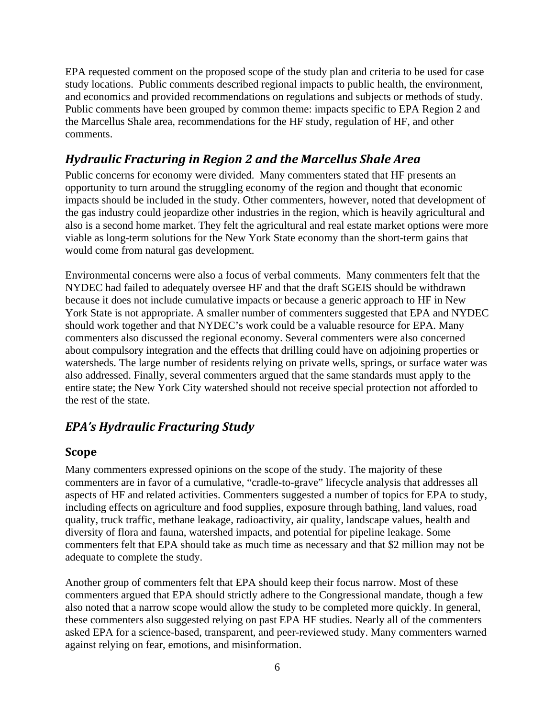EPA requested comment on the proposed scope of the study plan and criteria to be used for case study locations. Public comments described regional impacts to public health, the environment, and economics and provided recommendations on regulations and subjects or methods of study. Public comments have been grouped by common theme: impacts specific to EPA Region 2 and the Marcellus Shale area, recommendations for the HF study, regulation of HF, and other comments.

## *Hydraulic Fracturing in Region 2 and the Marcellus Shale Area*

Public concerns for economy were divided. Many commenters stated that HF presents an opportunity to turn around the struggling economy of the region and thought that economic impacts should be included in the study. Other commenters, however, noted that development of the gas industry could jeopardize other industries in the region, which is heavily agricultural and also is a second home market. They felt the agricultural and real estate market options were more viable as long-term solutions for the New York State economy than the short-term gains that would come from natural gas development.

Environmental concerns were also a focus of verbal comments. Many commenters felt that the NYDEC had failed to adequately oversee HF and that the draft SGEIS should be withdrawn because it does not include cumulative impacts or because a generic approach to HF in New York State is not appropriate. A smaller number of commenters suggested that EPA and NYDEC should work together and that NYDEC's work could be a valuable resource for EPA. Many commenters also discussed the regional economy. Several commenters were also concerned about compulsory integration and the effects that drilling could have on adjoining properties or watersheds. The large number of residents relying on private wells, springs, or surface water was also addressed. Finally, several commenters argued that the same standards must apply to the entire state; the New York City watershed should not receive special protection not afforded to the rest of the state.

# *EPA's Hydraulic Fracturing Study*

#### **Scope**

Many commenters expressed opinions on the scope of the study. The majority of these commenters are in favor of a cumulative, "cradle-to-grave" lifecycle analysis that addresses all aspects of HF and related activities. Commenters suggested a number of topics for EPA to study, including effects on agriculture and food supplies, exposure through bathing, land values, road quality, truck traffic, methane leakage, radioactivity, air quality, landscape values, health and diversity of flora and fauna, watershed impacts, and potential for pipeline leakage. Some commenters felt that EPA should take as much time as necessary and that \$2 million may not be adequate to complete the study.

Another group of commenters felt that EPA should keep their focus narrow. Most of these commenters argued that EPA should strictly adhere to the Congressional mandate, though a few also noted that a narrow scope would allow the study to be completed more quickly. In general, these commenters also suggested relying on past EPA HF studies. Nearly all of the commenters asked EPA for a science-based, transparent, and peer-reviewed study. Many commenters warned against relying on fear, emotions, and misinformation.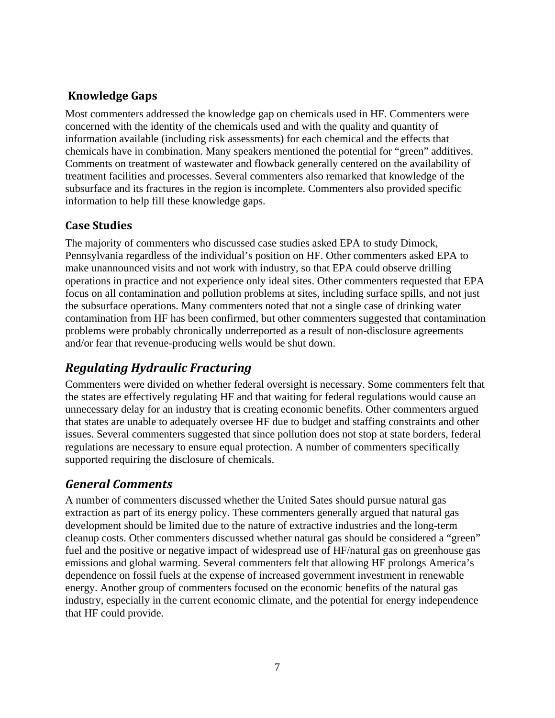### **Knowledge Gaps**

Most commenters addressed the knowledge gap on chemicals used in HF. Commenters were concerned with the identity of the chemicals used and with the quality and quantity of information available (including risk assessments) for each chemical and the effects that chemicals have in combination. Many speakers mentioned the potential for "green" additives. Comments on treatment of wastewater and flowback generally centered on the availability of treatment facilities and processes. Several commenters also remarked that knowledge of the subsurface and its fractures in the region is incomplete. Commenters also provided specific information to help fill these knowledge gaps.

#### **Case Studies**

The majority of commenters who discussed case studies asked EPA to study Dimock, Pennsylvania regardless of the individual's position on HF. Other commenters asked EPA to make unannounced visits and not work with industry, so that EPA could observe drilling operations in practice and not experience only ideal sites. Other commenters requested that EPA focus on all contamination and pollution problems at sites, including surface spills, and not just the subsurface operations. Many commenters noted that not a single case of drinking water contamination from HF has been confirmed, but other commenters suggested that contamination problems were probably chronically underreported as a result of non-disclosure agreements and/or fear that revenue-producing wells would be shut down.

# *Regulating Hydraulic Fracturing*

Commenters were divided on whether federal oversight is necessary. Some commenters felt that the states are effectively regulating HF and that waiting for federal regulations would cause an unnecessary delay for an industry that is creating economic benefits. Other commenters argued that states are unable to adequately oversee HF due to budget and staffing constraints and other issues. Several commenters suggested that since pollution does not stop at state borders, federal regulations are necessary to ensure equal protection. A number of commenters specifically supported requiring the disclosure of chemicals.

### *General Comments*

A number of commenters discussed whether the United Sates should pursue natural gas extraction as part of its energy policy. These commenters generally argued that natural gas development should be limited due to the nature of extractive industries and the long-term cleanup costs. Other commenters discussed whether natural gas should be considered a "green" fuel and the positive or negative impact of widespread use of HF/natural gas on greenhouse gas emissions and global warming. Several commenters felt that allowing HF prolongs America's dependence on fossil fuels at the expense of increased government investment in renewable energy. Another group of commenters focused on the economic benefits of the natural gas industry, especially in the current economic climate, and the potential for energy independence that HF could provide.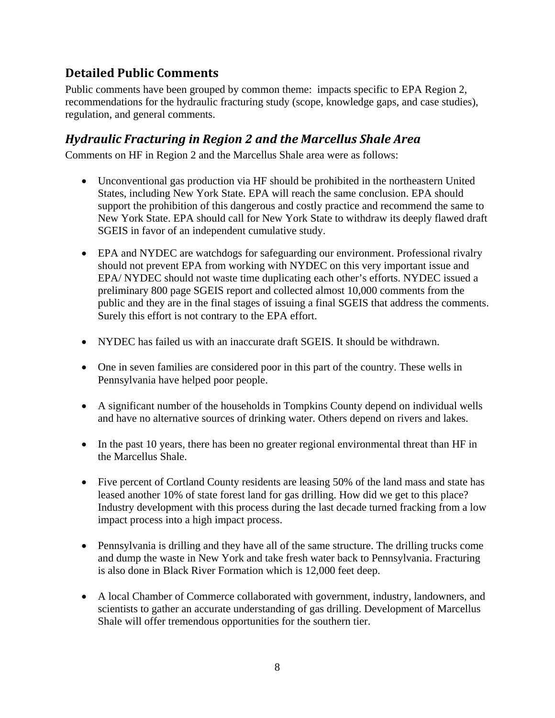## **Detailed Public Comments**

Public comments have been grouped by common theme: impacts specific to EPA Region 2, recommendations for the hydraulic fracturing study (scope, knowledge gaps, and case studies), regulation, and general comments.

#### *Hydraulic Fracturing in Region 2 and the Marcellus Shale Area*

Comments on HF in Region 2 and the Marcellus Shale area were as follows:

- Unconventional gas production via HF should be prohibited in the northeastern United States, including New York State. EPA will reach the same conclusion. EPA should support the prohibition of this dangerous and costly practice and recommend the same to New York State. EPA should call for New York State to withdraw its deeply flawed draft SGEIS in favor of an independent cumulative study.
- EPA and NYDEC are watchdogs for safeguarding our environment. Professional rivalry should not prevent EPA from working with NYDEC on this very important issue and EPA/ NYDEC should not waste time duplicating each other's efforts. NYDEC issued a preliminary 800 page SGEIS report and collected almost 10,000 comments from the public and they are in the final stages of issuing a final SGEIS that address the comments. Surely this effort is not contrary to the EPA effort.
- NYDEC has failed us with an inaccurate draft SGEIS. It should be withdrawn.
- One in seven families are considered poor in this part of the country. These wells in Pennsylvania have helped poor people.
- A significant number of the households in Tompkins County depend on individual wells and have no alternative sources of drinking water. Others depend on rivers and lakes.
- In the past 10 years, there has been no greater regional environmental threat than HF in the Marcellus Shale.
- Five percent of Cortland County residents are leasing 50% of the land mass and state has leased another 10% of state forest land for gas drilling. How did we get to this place? Industry development with this process during the last decade turned fracking from a low impact process into a high impact process.
- Pennsylvania is drilling and they have all of the same structure. The drilling trucks come and dump the waste in New York and take fresh water back to Pennsylvania. Fracturing is also done in Black River Formation which is 12,000 feet deep.
- A local Chamber of Commerce collaborated with government, industry, landowners, and scientists to gather an accurate understanding of gas drilling. Development of Marcellus Shale will offer tremendous opportunities for the southern tier.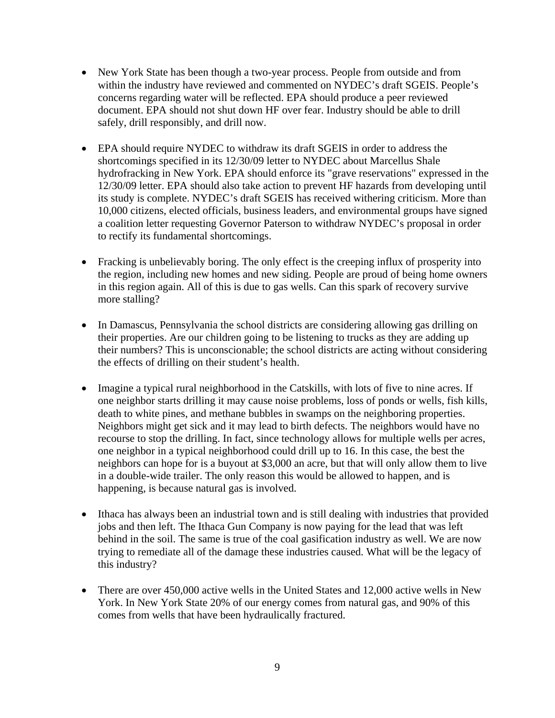- New York State has been though a two-year process. People from outside and from within the industry have reviewed and commented on NYDEC's draft SGEIS. People's concerns regarding water will be reflected. EPA should produce a peer reviewed document. EPA should not shut down HF over fear. Industry should be able to drill safely, drill responsibly, and drill now.
- EPA should require NYDEC to withdraw its draft SGEIS in order to address the shortcomings specified in its 12/30/09 letter to NYDEC about Marcellus Shale hydrofracking in New York. EPA should enforce its "grave reservations" expressed in the 12/30/09 letter. EPA should also take action to prevent HF hazards from developing until its study is complete. NYDEC's draft SGEIS has received withering criticism. More than 10,000 citizens, elected officials, business leaders, and environmental groups have signed a coalition letter requesting Governor Paterson to withdraw NYDEC's proposal in order to rectify its fundamental shortcomings.
- Fracking is unbelievably boring. The only effect is the creeping influx of prosperity into the region, including new homes and new siding. People are proud of being home owners in this region again. All of this is due to gas wells. Can this spark of recovery survive more stalling?
- In Damascus, Pennsylvania the school districts are considering allowing gas drilling on their properties. Are our children going to be listening to trucks as they are adding up their numbers? This is unconscionable; the school districts are acting without considering the effects of drilling on their student's health.
- Imagine a typical rural neighborhood in the Catskills, with lots of five to nine acres. If one neighbor starts drilling it may cause noise problems, loss of ponds or wells, fish kills, death to white pines, and methane bubbles in swamps on the neighboring properties. Neighbors might get sick and it may lead to birth defects. The neighbors would have no recourse to stop the drilling. In fact, since technology allows for multiple wells per acres, one neighbor in a typical neighborhood could drill up to 16. In this case, the best the neighbors can hope for is a buyout at \$3,000 an acre, but that will only allow them to live in a double-wide trailer. The only reason this would be allowed to happen, and is happening, is because natural gas is involved.
- Ithaca has always been an industrial town and is still dealing with industries that provided jobs and then left. The Ithaca Gun Company is now paying for the lead that was left behind in the soil. The same is true of the coal gasification industry as well. We are now trying to remediate all of the damage these industries caused. What will be the legacy of this industry?
- There are over 450,000 active wells in the United States and 12,000 active wells in New York. In New York State 20% of our energy comes from natural gas, and 90% of this comes from wells that have been hydraulically fractured.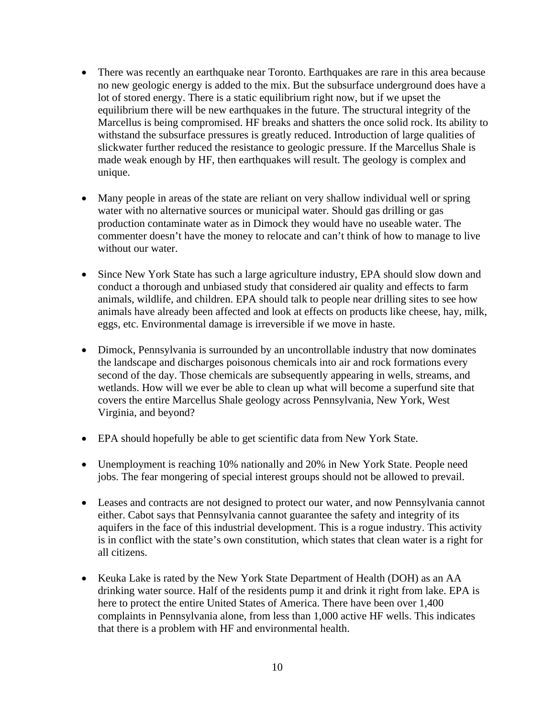- There was recently an earthquake near Toronto. Earthquakes are rare in this area because no new geologic energy is added to the mix. But the subsurface underground does have a lot of stored energy. There is a static equilibrium right now, but if we upset the equilibrium there will be new earthquakes in the future. The structural integrity of the Marcellus is being compromised. HF breaks and shatters the once solid rock. Its ability to withstand the subsurface pressures is greatly reduced. Introduction of large qualities of slickwater further reduced the resistance to geologic pressure. If the Marcellus Shale is made weak enough by HF, then earthquakes will result. The geology is complex and unique.
- Many people in areas of the state are reliant on very shallow individual well or spring water with no alternative sources or municipal water. Should gas drilling or gas production contaminate water as in Dimock they would have no useable water. The commenter doesn't have the money to relocate and can't think of how to manage to live without our water.
- Since New York State has such a large agriculture industry, EPA should slow down and conduct a thorough and unbiased study that considered air quality and effects to farm animals, wildlife, and children. EPA should talk to people near drilling sites to see how animals have already been affected and look at effects on products like cheese, hay, milk, eggs, etc. Environmental damage is irreversible if we move in haste.
- Dimock, Pennsylvania is surrounded by an uncontrollable industry that now dominates the landscape and discharges poisonous chemicals into air and rock formations every second of the day. Those chemicals are subsequently appearing in wells, streams, and wetlands. How will we ever be able to clean up what will become a superfund site that covers the entire Marcellus Shale geology across Pennsylvania, New York, West Virginia, and beyond?
- EPA should hopefully be able to get scientific data from New York State.
- Unemployment is reaching 10% nationally and 20% in New York State. People need jobs. The fear mongering of special interest groups should not be allowed to prevail.
- Leases and contracts are not designed to protect our water, and now Pennsylvania cannot either. Cabot says that Pennsylvania cannot guarantee the safety and integrity of its aquifers in the face of this industrial development. This is a rogue industry. This activity is in conflict with the state's own constitution, which states that clean water is a right for all citizens.
- Keuka Lake is rated by the New York State Department of Health (DOH) as an AA drinking water source. Half of the residents pump it and drink it right from lake. EPA is here to protect the entire United States of America. There have been over 1,400 complaints in Pennsylvania alone, from less than 1,000 active HF wells. This indicates that there is a problem with HF and environmental health.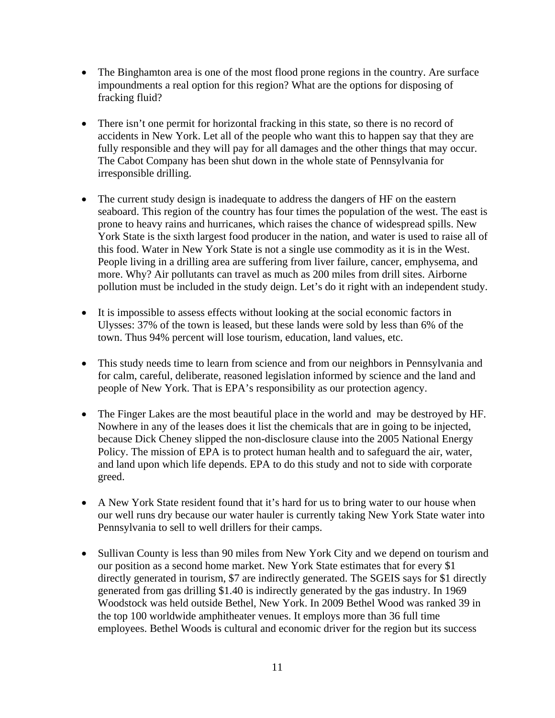- The Binghamton area is one of the most flood prone regions in the country. Are surface impoundments a real option for this region? What are the options for disposing of fracking fluid?
- There isn't one permit for horizontal fracking in this state, so there is no record of accidents in New York. Let all of the people who want this to happen say that they are fully responsible and they will pay for all damages and the other things that may occur. The Cabot Company has been shut down in the whole state of Pennsylvania for irresponsible drilling.
- The current study design is inadequate to address the dangers of HF on the eastern seaboard. This region of the country has four times the population of the west. The east is prone to heavy rains and hurricanes, which raises the chance of widespread spills. New York State is the sixth largest food producer in the nation, and water is used to raise all of this food. Water in New York State is not a single use commodity as it is in the West. People living in a drilling area are suffering from liver failure, cancer, emphysema, and more. Why? Air pollutants can travel as much as 200 miles from drill sites. Airborne pollution must be included in the study deign. Let's do it right with an independent study.
- It is impossible to assess effects without looking at the social economic factors in Ulysses: 37% of the town is leased, but these lands were sold by less than 6% of the town. Thus 94% percent will lose tourism, education, land values, etc.
- This study needs time to learn from science and from our neighbors in Pennsylvania and for calm, careful, deliberate, reasoned legislation informed by science and the land and people of New York. That is EPA's responsibility as our protection agency.
- The Finger Lakes are the most beautiful place in the world and may be destroyed by HF. Nowhere in any of the leases does it list the chemicals that are in going to be injected, because Dick Cheney slipped the non-disclosure clause into the 2005 National Energy Policy. The mission of EPA is to protect human health and to safeguard the air, water, and land upon which life depends. EPA to do this study and not to side with corporate greed.
- A New York State resident found that it's hard for us to bring water to our house when our well runs dry because our water hauler is currently taking New York State water into Pennsylvania to sell to well drillers for their camps.
- Sullivan County is less than 90 miles from New York City and we depend on tourism and our position as a second home market. New York State estimates that for every \$1 directly generated in tourism, \$7 are indirectly generated. The SGEIS says for \$1 directly generated from gas drilling \$1.40 is indirectly generated by the gas industry. In 1969 Woodstock was held outside Bethel, New York. In 2009 Bethel Wood was ranked 39 in the top 100 worldwide amphitheater venues. It employs more than 36 full time employees. Bethel Woods is cultural and economic driver for the region but its success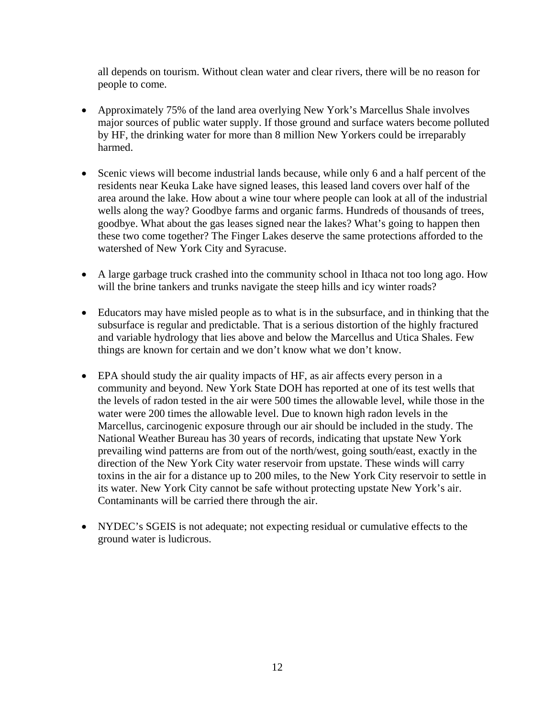all depends on tourism. Without clean water and clear rivers, there will be no reason for people to come.

- Approximately 75% of the land area overlying New York's Marcellus Shale involves major sources of public water supply. If those ground and surface waters become polluted by HF, the drinking water for more than 8 million New Yorkers could be irreparably harmed.
- Scenic views will become industrial lands because, while only 6 and a half percent of the residents near Keuka Lake have signed leases, this leased land covers over half of the area around the lake. How about a wine tour where people can look at all of the industrial wells along the way? Goodbye farms and organic farms. Hundreds of thousands of trees, goodbye. What about the gas leases signed near the lakes? What's going to happen then these two come together? The Finger Lakes deserve the same protections afforded to the watershed of New York City and Syracuse.
- A large garbage truck crashed into the community school in Ithaca not too long ago. How will the brine tankers and trunks navigate the steep hills and icy winter roads?
- Educators may have misled people as to what is in the subsurface, and in thinking that the subsurface is regular and predictable. That is a serious distortion of the highly fractured and variable hydrology that lies above and below the Marcellus and Utica Shales. Few things are known for certain and we don't know what we don't know.
- EPA should study the air quality impacts of HF, as air affects every person in a community and beyond. New York State DOH has reported at one of its test wells that the levels of radon tested in the air were 500 times the allowable level, while those in the water were 200 times the allowable level. Due to known high radon levels in the Marcellus, carcinogenic exposure through our air should be included in the study. The National Weather Bureau has 30 years of records, indicating that upstate New York prevailing wind patterns are from out of the north/west, going south/east, exactly in the direction of the New York City water reservoir from upstate. These winds will carry toxins in the air for a distance up to 200 miles, to the New York City reservoir to settle in its water. New York City cannot be safe without protecting upstate New York's air. Contaminants will be carried there through the air.
- NYDEC's SGEIS is not adequate; not expecting residual or cumulative effects to the ground water is ludicrous.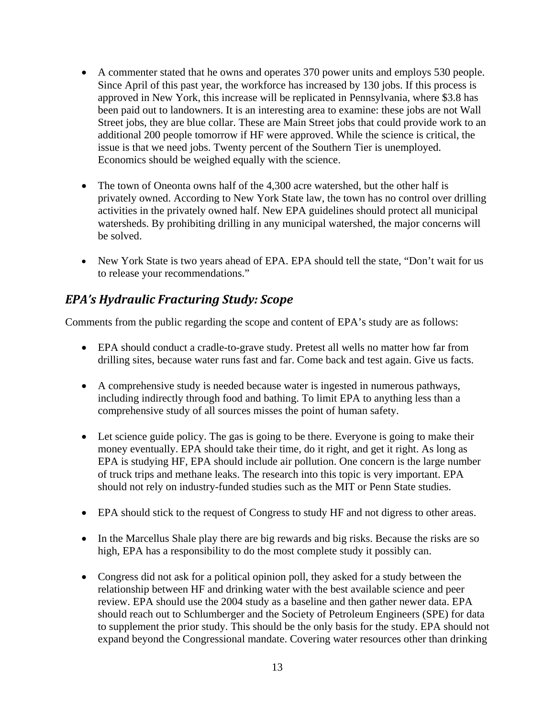- A commenter stated that he owns and operates 370 power units and employs 530 people. Since April of this past year, the workforce has increased by 130 jobs. If this process is approved in New York, this increase will be replicated in Pennsylvania, where \$3.8 has been paid out to landowners. It is an interesting area to examine: these jobs are not Wall Street jobs, they are blue collar. These are Main Street jobs that could provide work to an additional 200 people tomorrow if HF were approved. While the science is critical, the issue is that we need jobs. Twenty percent of the Southern Tier is unemployed. Economics should be weighed equally with the science.
- The town of Oneonta owns half of the 4,300 acre watershed, but the other half is privately owned. According to New York State law, the town has no control over drilling activities in the privately owned half. New EPA guidelines should protect all municipal watersheds. By prohibiting drilling in any municipal watershed, the major concerns will be solved.
- New York State is two years ahead of EPA. EPA should tell the state, "Don't wait for us to release your recommendations."

#### *EPA's Hydraulic Fracturing Study: Scope*

Comments from the public regarding the scope and content of EPA's study are as follows:

- EPA should conduct a cradle-to-grave study. Pretest all wells no matter how far from drilling sites, because water runs fast and far. Come back and test again. Give us facts.
- A comprehensive study is needed because water is ingested in numerous pathways, including indirectly through food and bathing. To limit EPA to anything less than a comprehensive study of all sources misses the point of human safety.
- Let science guide policy. The gas is going to be there. Everyone is going to make their money eventually. EPA should take their time, do it right, and get it right. As long as EPA is studying HF, EPA should include air pollution. One concern is the large number of truck trips and methane leaks. The research into this topic is very important. EPA should not rely on industry-funded studies such as the MIT or Penn State studies.
- EPA should stick to the request of Congress to study HF and not digress to other areas.
- In the Marcellus Shale play there are big rewards and big risks. Because the risks are so high, EPA has a responsibility to do the most complete study it possibly can.
- Congress did not ask for a political opinion poll, they asked for a study between the relationship between HF and drinking water with the best available science and peer review. EPA should use the 2004 study as a baseline and then gather newer data. EPA should reach out to Schlumberger and the Society of Petroleum Engineers (SPE) for data to supplement the prior study. This should be the only basis for the study. EPA should not expand beyond the Congressional mandate. Covering water resources other than drinking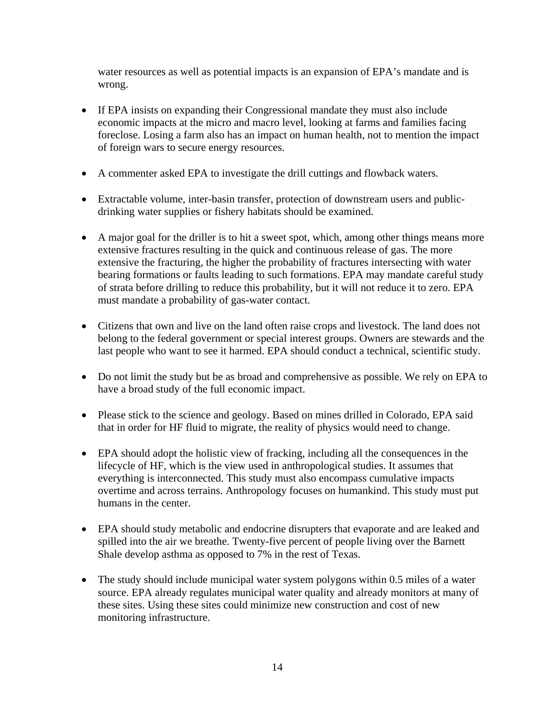water resources as well as potential impacts is an expansion of EPA's mandate and is wrong.

- If EPA insists on expanding their Congressional mandate they must also include economic impacts at the micro and macro level, looking at farms and families facing foreclose. Losing a farm also has an impact on human health, not to mention the impact of foreign wars to secure energy resources.
- A commenter asked EPA to investigate the drill cuttings and flowback waters.
- Extractable volume, inter-basin transfer, protection of downstream users and publicdrinking water supplies or fishery habitats should be examined.
- A major goal for the driller is to hit a sweet spot, which, among other things means more extensive fractures resulting in the quick and continuous release of gas. The more extensive the fracturing, the higher the probability of fractures intersecting with water bearing formations or faults leading to such formations. EPA may mandate careful study of strata before drilling to reduce this probability, but it will not reduce it to zero. EPA must mandate a probability of gas-water contact.
- Citizens that own and live on the land often raise crops and livestock. The land does not belong to the federal government or special interest groups. Owners are stewards and the last people who want to see it harmed. EPA should conduct a technical, scientific study.
- Do not limit the study but be as broad and comprehensive as possible. We rely on EPA to have a broad study of the full economic impact.
- Please stick to the science and geology. Based on mines drilled in Colorado, EPA said that in order for HF fluid to migrate, the reality of physics would need to change.
- EPA should adopt the holistic view of fracking, including all the consequences in the lifecycle of HF, which is the view used in anthropological studies. It assumes that everything is interconnected. This study must also encompass cumulative impacts overtime and across terrains. Anthropology focuses on humankind. This study must put humans in the center.
- EPA should study metabolic and endocrine disrupters that evaporate and are leaked and spilled into the air we breathe. Twenty-five percent of people living over the Barnett Shale develop asthma as opposed to 7% in the rest of Texas.
- The study should include municipal water system polygons within 0.5 miles of a water source. EPA already regulates municipal water quality and already monitors at many of these sites. Using these sites could minimize new construction and cost of new monitoring infrastructure.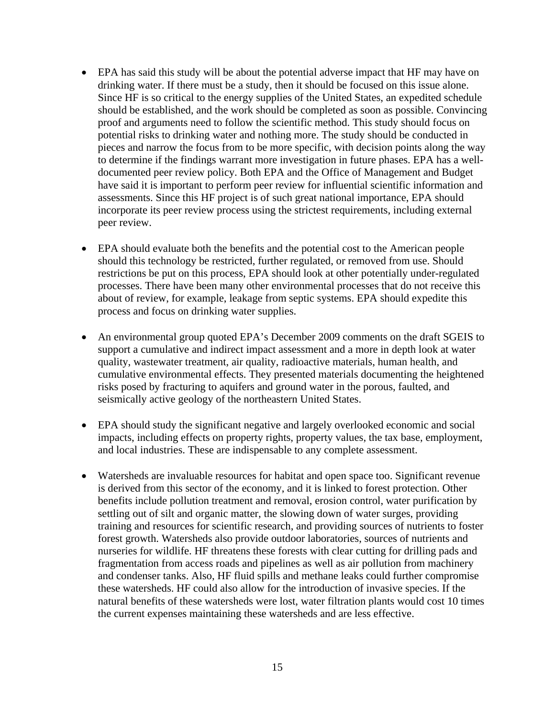- EPA has said this study will be about the potential adverse impact that HF may have on drinking water. If there must be a study, then it should be focused on this issue alone. Since HF is so critical to the energy supplies of the United States, an expedited schedule should be established, and the work should be completed as soon as possible. Convincing proof and arguments need to follow the scientific method. This study should focus on potential risks to drinking water and nothing more. The study should be conducted in pieces and narrow the focus from to be more specific, with decision points along the way to determine if the findings warrant more investigation in future phases. EPA has a welldocumented peer review policy. Both EPA and the Office of Management and Budget have said it is important to perform peer review for influential scientific information and assessments. Since this HF project is of such great national importance, EPA should incorporate its peer review process using the strictest requirements, including external peer review.
- EPA should evaluate both the benefits and the potential cost to the American people should this technology be restricted, further regulated, or removed from use. Should restrictions be put on this process, EPA should look at other potentially under-regulated processes. There have been many other environmental processes that do not receive this about of review, for example, leakage from septic systems. EPA should expedite this process and focus on drinking water supplies.
- An environmental group quoted EPA's December 2009 comments on the draft SGEIS to support a cumulative and indirect impact assessment and a more in depth look at water quality, wastewater treatment, air quality, radioactive materials, human health, and cumulative environmental effects. They presented materials documenting the heightened risks posed by fracturing to aquifers and ground water in the porous, faulted, and seismically active geology of the northeastern United States.
- EPA should study the significant negative and largely overlooked economic and social impacts, including effects on property rights, property values, the tax base, employment, and local industries. These are indispensable to any complete assessment.
- Watersheds are invaluable resources for habitat and open space too. Significant revenue is derived from this sector of the economy, and it is linked to forest protection. Other benefits include pollution treatment and removal, erosion control, water purification by settling out of silt and organic matter, the slowing down of water surges, providing training and resources for scientific research, and providing sources of nutrients to foster forest growth. Watersheds also provide outdoor laboratories, sources of nutrients and nurseries for wildlife. HF threatens these forests with clear cutting for drilling pads and fragmentation from access roads and pipelines as well as air pollution from machinery and condenser tanks. Also, HF fluid spills and methane leaks could further compromise these watersheds. HF could also allow for the introduction of invasive species. If the natural benefits of these watersheds were lost, water filtration plants would cost 10 times the current expenses maintaining these watersheds and are less effective.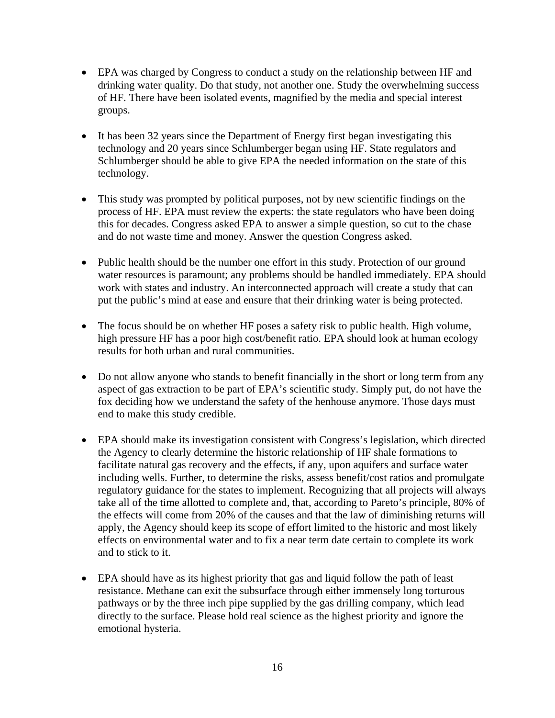- EPA was charged by Congress to conduct a study on the relationship between HF and drinking water quality. Do that study, not another one. Study the overwhelming success of HF. There have been isolated events, magnified by the media and special interest groups.
- It has been 32 years since the Department of Energy first began investigating this technology and 20 years since Schlumberger began using HF. State regulators and Schlumberger should be able to give EPA the needed information on the state of this technology.
- This study was prompted by political purposes, not by new scientific findings on the process of HF. EPA must review the experts: the state regulators who have been doing this for decades. Congress asked EPA to answer a simple question, so cut to the chase and do not waste time and money. Answer the question Congress asked.
- Public health should be the number one effort in this study. Protection of our ground water resources is paramount; any problems should be handled immediately. EPA should work with states and industry. An interconnected approach will create a study that can put the public's mind at ease and ensure that their drinking water is being protected.
- The focus should be on whether HF poses a safety risk to public health. High volume, high pressure HF has a poor high cost/benefit ratio. EPA should look at human ecology results for both urban and rural communities.
- Do not allow anyone who stands to benefit financially in the short or long term from any aspect of gas extraction to be part of EPA's scientific study. Simply put, do not have the fox deciding how we understand the safety of the henhouse anymore. Those days must end to make this study credible.
- EPA should make its investigation consistent with Congress's legislation, which directed the Agency to clearly determine the historic relationship of HF shale formations to facilitate natural gas recovery and the effects, if any, upon aquifers and surface water including wells. Further, to determine the risks, assess benefit/cost ratios and promulgate regulatory guidance for the states to implement. Recognizing that all projects will always take all of the time allotted to complete and, that, according to Pareto's principle, 80% of the effects will come from 20% of the causes and that the law of diminishing returns will apply, the Agency should keep its scope of effort limited to the historic and most likely effects on environmental water and to fix a near term date certain to complete its work and to stick to it.
- EPA should have as its highest priority that gas and liquid follow the path of least resistance. Methane can exit the subsurface through either immensely long torturous pathways or by the three inch pipe supplied by the gas drilling company, which lead directly to the surface. Please hold real science as the highest priority and ignore the emotional hysteria.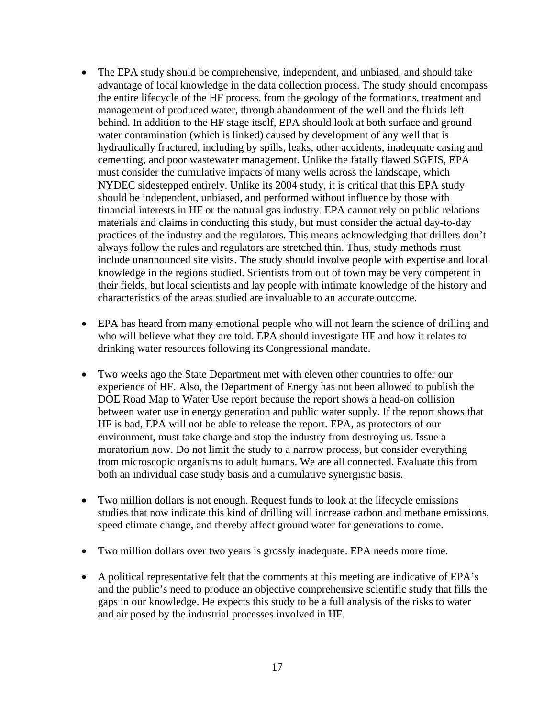- The EPA study should be comprehensive, independent, and unbiased, and should take advantage of local knowledge in the data collection process. The study should encompass the entire lifecycle of the HF process, from the geology of the formations, treatment and management of produced water, through abandonment of the well and the fluids left behind. In addition to the HF stage itself, EPA should look at both surface and ground water contamination (which is linked) caused by development of any well that is hydraulically fractured, including by spills, leaks, other accidents, inadequate casing and cementing, and poor wastewater management. Unlike the fatally flawed SGEIS, EPA must consider the cumulative impacts of many wells across the landscape, which NYDEC sidestepped entirely. Unlike its 2004 study, it is critical that this EPA study should be independent, unbiased, and performed without influence by those with financial interests in HF or the natural gas industry. EPA cannot rely on public relations materials and claims in conducting this study, but must consider the actual day-to-day practices of the industry and the regulators. This means acknowledging that drillers don't always follow the rules and regulators are stretched thin. Thus, study methods must include unannounced site visits. The study should involve people with expertise and local knowledge in the regions studied. Scientists from out of town may be very competent in their fields, but local scientists and lay people with intimate knowledge of the history and characteristics of the areas studied are invaluable to an accurate outcome.
- EPA has heard from many emotional people who will not learn the science of drilling and who will believe what they are told. EPA should investigate HF and how it relates to drinking water resources following its Congressional mandate.
- Two weeks ago the State Department met with eleven other countries to offer our experience of HF. Also, the Department of Energy has not been allowed to publish the DOE Road Map to Water Use report because the report shows a head-on collision between water use in energy generation and public water supply. If the report shows that HF is bad, EPA will not be able to release the report. EPA, as protectors of our environment, must take charge and stop the industry from destroying us. Issue a moratorium now. Do not limit the study to a narrow process, but consider everything from microscopic organisms to adult humans. We are all connected. Evaluate this from both an individual case study basis and a cumulative synergistic basis.
- Two million dollars is not enough. Request funds to look at the lifecycle emissions studies that now indicate this kind of drilling will increase carbon and methane emissions, speed climate change, and thereby affect ground water for generations to come.
- Two million dollars over two years is grossly inadequate. EPA needs more time.
- A political representative felt that the comments at this meeting are indicative of EPA's and the public's need to produce an objective comprehensive scientific study that fills the gaps in our knowledge. He expects this study to be a full analysis of the risks to water and air posed by the industrial processes involved in HF.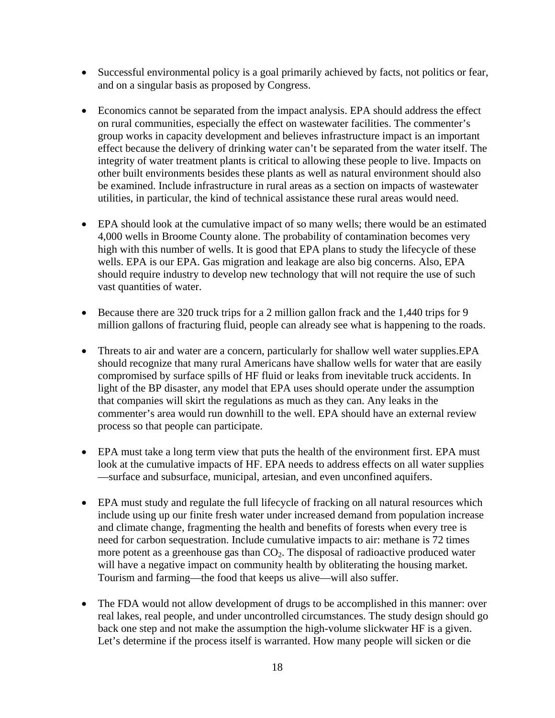- Successful environmental policy is a goal primarily achieved by facts, not politics or fear, and on a singular basis as proposed by Congress.
- Economics cannot be separated from the impact analysis. EPA should address the effect on rural communities, especially the effect on wastewater facilities. The commenter's group works in capacity development and believes infrastructure impact is an important effect because the delivery of drinking water can't be separated from the water itself. The integrity of water treatment plants is critical to allowing these people to live. Impacts on other built environments besides these plants as well as natural environment should also be examined. Include infrastructure in rural areas as a section on impacts of wastewater utilities, in particular, the kind of technical assistance these rural areas would need.
- EPA should look at the cumulative impact of so many wells; there would be an estimated 4,000 wells in Broome County alone. The probability of contamination becomes very high with this number of wells. It is good that EPA plans to study the lifecycle of these wells. EPA is our EPA. Gas migration and leakage are also big concerns. Also, EPA should require industry to develop new technology that will not require the use of such vast quantities of water.
- Because there are 320 truck trips for a 2 million gallon frack and the 1,440 trips for 9 million gallons of fracturing fluid, people can already see what is happening to the roads.
- Threats to air and water are a concern, particularly for shallow well water supplies. EPA should recognize that many rural Americans have shallow wells for water that are easily compromised by surface spills of HF fluid or leaks from inevitable truck accidents. In light of the BP disaster, any model that EPA uses should operate under the assumption that companies will skirt the regulations as much as they can. Any leaks in the commenter's area would run downhill to the well. EPA should have an external review process so that people can participate.
- EPA must take a long term view that puts the health of the environment first. EPA must look at the cumulative impacts of HF. EPA needs to address effects on all water supplies —surface and subsurface, municipal, artesian, and even unconfined aquifers.
- EPA must study and regulate the full lifecycle of fracking on all natural resources which include using up our finite fresh water under increased demand from population increase and climate change, fragmenting the health and benefits of forests when every tree is need for carbon sequestration. Include cumulative impacts to air: methane is 72 times more potent as a greenhouse gas than  $CO<sub>2</sub>$ . The disposal of radioactive produced water will have a negative impact on community health by obliterating the housing market. Tourism and farming—the food that keeps us alive—will also suffer.
- The FDA would not allow development of drugs to be accomplished in this manner: over real lakes, real people, and under uncontrolled circumstances. The study design should go back one step and not make the assumption the high-volume slickwater HF is a given. Let's determine if the process itself is warranted. How many people will sicken or die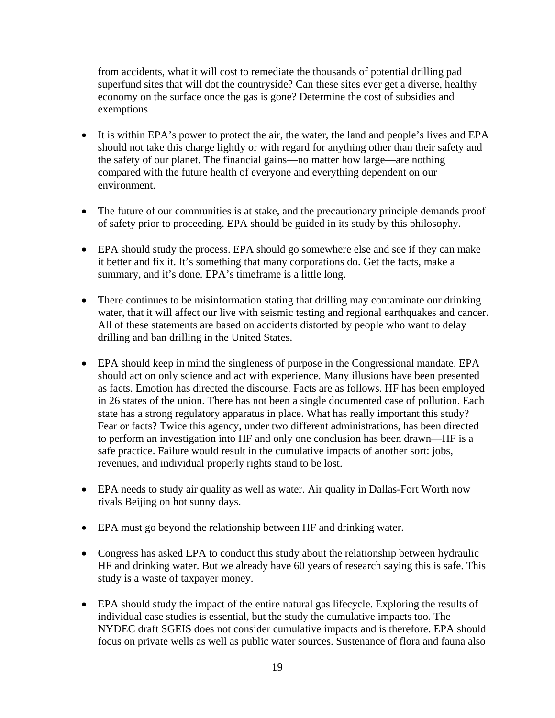from accidents, what it will cost to remediate the thousands of potential drilling pad superfund sites that will dot the countryside? Can these sites ever get a diverse, healthy economy on the surface once the gas is gone? Determine the cost of subsidies and exemptions

- It is within EPA's power to protect the air, the water, the land and people's lives and EPA should not take this charge lightly or with regard for anything other than their safety and the safety of our planet. The financial gains—no matter how large—are nothing compared with the future health of everyone and everything dependent on our environment.
- The future of our communities is at stake, and the precautionary principle demands proof of safety prior to proceeding. EPA should be guided in its study by this philosophy.
- EPA should study the process. EPA should go somewhere else and see if they can make it better and fix it. It's something that many corporations do. Get the facts, make a summary, and it's done. EPA's timeframe is a little long.
- There continues to be misinformation stating that drilling may contaminate our drinking water, that it will affect our live with seismic testing and regional earthquakes and cancer. All of these statements are based on accidents distorted by people who want to delay drilling and ban drilling in the United States.
- EPA should keep in mind the singleness of purpose in the Congressional mandate. EPA should act on only science and act with experience. Many illusions have been presented as facts. Emotion has directed the discourse. Facts are as follows. HF has been employed in 26 states of the union. There has not been a single documented case of pollution. Each state has a strong regulatory apparatus in place. What has really important this study? Fear or facts? Twice this agency, under two different administrations, has been directed to perform an investigation into HF and only one conclusion has been drawn—HF is a safe practice. Failure would result in the cumulative impacts of another sort: jobs, revenues, and individual properly rights stand to be lost.
- EPA needs to study air quality as well as water. Air quality in Dallas-Fort Worth now rivals Beijing on hot sunny days.
- EPA must go beyond the relationship between HF and drinking water.
- Congress has asked EPA to conduct this study about the relationship between hydraulic HF and drinking water. But we already have 60 years of research saying this is safe. This study is a waste of taxpayer money.
- EPA should study the impact of the entire natural gas lifecycle. Exploring the results of individual case studies is essential, but the study the cumulative impacts too. The NYDEC draft SGEIS does not consider cumulative impacts and is therefore. EPA should focus on private wells as well as public water sources. Sustenance of flora and fauna also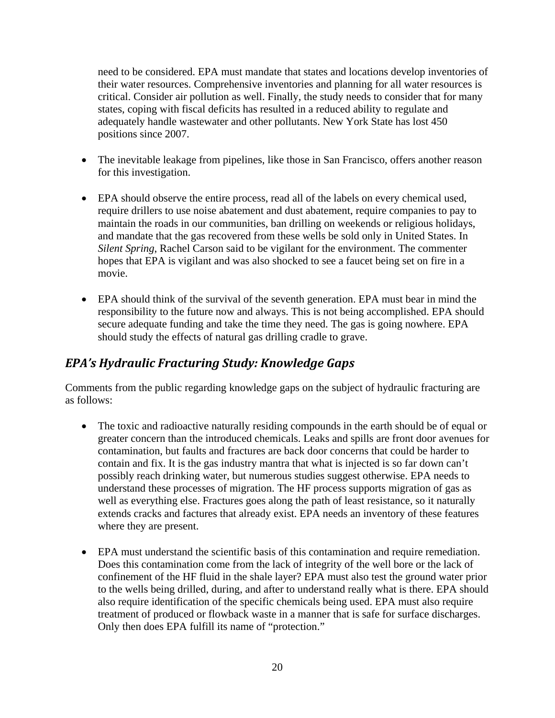need to be considered. EPA must mandate that states and locations develop inventories of their water resources. Comprehensive inventories and planning for all water resources is critical. Consider air pollution as well. Finally, the study needs to consider that for many states, coping with fiscal deficits has resulted in a reduced ability to regulate and adequately handle wastewater and other pollutants. New York State has lost 450 positions since 2007.

- The inevitable leakage from pipelines, like those in San Francisco, offers another reason for this investigation.
- EPA should observe the entire process, read all of the labels on every chemical used, require drillers to use noise abatement and dust abatement, require companies to pay to maintain the roads in our communities, ban drilling on weekends or religious holidays, and mandate that the gas recovered from these wells be sold only in United States. In *Silent Spring*, Rachel Carson said to be vigilant for the environment. The commenter hopes that EPA is vigilant and was also shocked to see a faucet being set on fire in a movie.
- EPA should think of the survival of the seventh generation. EPA must bear in mind the responsibility to the future now and always. This is not being accomplished. EPA should secure adequate funding and take the time they need. The gas is going nowhere. EPA should study the effects of natural gas drilling cradle to grave.

## *EPA's Hydraulic Fracturing Study: Knowledge Gaps*

Comments from the public regarding knowledge gaps on the subject of hydraulic fracturing are as follows:

- The toxic and radioactive naturally residing compounds in the earth should be of equal or greater concern than the introduced chemicals. Leaks and spills are front door avenues for contamination, but faults and fractures are back door concerns that could be harder to contain and fix. It is the gas industry mantra that what is injected is so far down can't possibly reach drinking water, but numerous studies suggest otherwise. EPA needs to understand these processes of migration. The HF process supports migration of gas as well as everything else. Fractures goes along the path of least resistance, so it naturally extends cracks and factures that already exist. EPA needs an inventory of these features where they are present.
- EPA must understand the scientific basis of this contamination and require remediation. Does this contamination come from the lack of integrity of the well bore or the lack of confinement of the HF fluid in the shale layer? EPA must also test the ground water prior to the wells being drilled, during, and after to understand really what is there. EPA should also require identification of the specific chemicals being used. EPA must also require treatment of produced or flowback waste in a manner that is safe for surface discharges. Only then does EPA fulfill its name of "protection."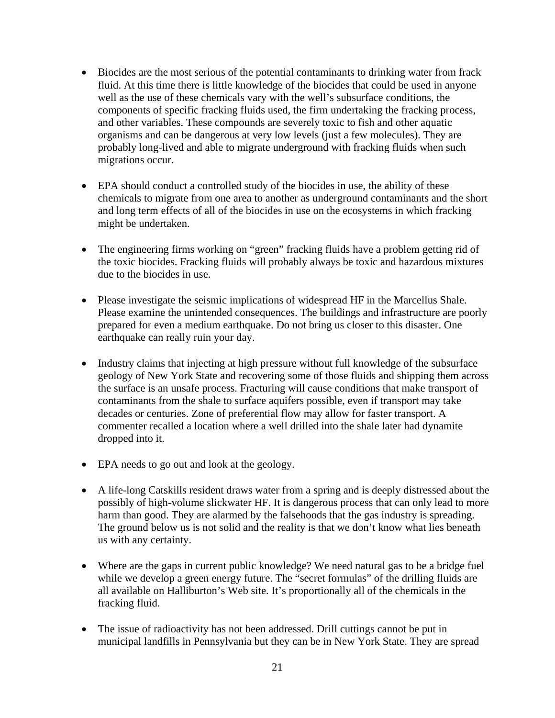- Biocides are the most serious of the potential contaminants to drinking water from frack fluid. At this time there is little knowledge of the biocides that could be used in anyone well as the use of these chemicals vary with the well's subsurface conditions, the components of specific fracking fluids used, the firm undertaking the fracking process, and other variables. These compounds are severely toxic to fish and other aquatic organisms and can be dangerous at very low levels (just a few molecules). They are probably long-lived and able to migrate underground with fracking fluids when such migrations occur.
- EPA should conduct a controlled study of the biocides in use, the ability of these chemicals to migrate from one area to another as underground contaminants and the short and long term effects of all of the biocides in use on the ecosystems in which fracking might be undertaken.
- The engineering firms working on "green" fracking fluids have a problem getting rid of the toxic biocides. Fracking fluids will probably always be toxic and hazardous mixtures due to the biocides in use.
- Please investigate the seismic implications of widespread HF in the Marcellus Shale. Please examine the unintended consequences. The buildings and infrastructure are poorly prepared for even a medium earthquake. Do not bring us closer to this disaster. One earthquake can really ruin your day.
- Industry claims that injecting at high pressure without full knowledge of the subsurface geology of New York State and recovering some of those fluids and shipping them across the surface is an unsafe process. Fracturing will cause conditions that make transport of contaminants from the shale to surface aquifers possible, even if transport may take decades or centuries. Zone of preferential flow may allow for faster transport. A commenter recalled a location where a well drilled into the shale later had dynamite dropped into it.
- EPA needs to go out and look at the geology.
- A life-long Catskills resident draws water from a spring and is deeply distressed about the possibly of high-volume slickwater HF. It is dangerous process that can only lead to more harm than good. They are alarmed by the falsehoods that the gas industry is spreading. The ground below us is not solid and the reality is that we don't know what lies beneath us with any certainty.
- Where are the gaps in current public knowledge? We need natural gas to be a bridge fuel while we develop a green energy future. The "secret formulas" of the drilling fluids are all available on Halliburton's Web site. It's proportionally all of the chemicals in the fracking fluid.
- The issue of radioactivity has not been addressed. Drill cuttings cannot be put in municipal landfills in Pennsylvania but they can be in New York State. They are spread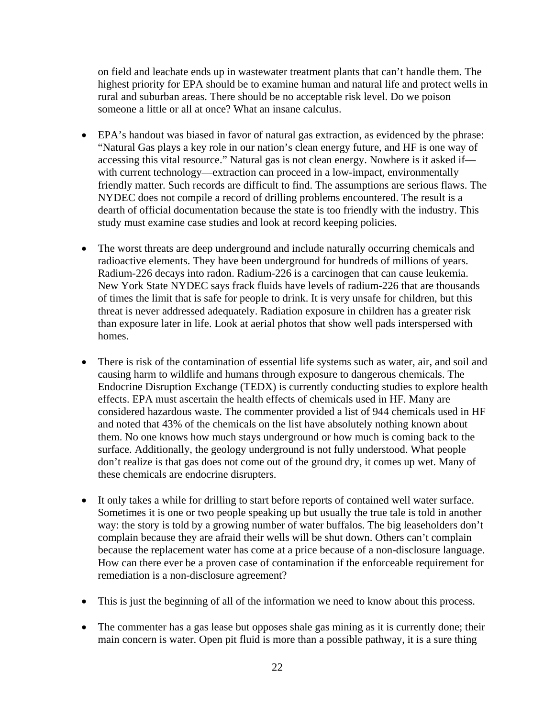on field and leachate ends up in wastewater treatment plants that can't handle them. The highest priority for EPA should be to examine human and natural life and protect wells in rural and suburban areas. There should be no acceptable risk level. Do we poison someone a little or all at once? What an insane calculus.

- EPA's handout was biased in favor of natural gas extraction, as evidenced by the phrase: "Natural Gas plays a key role in our nation's clean energy future, and HF is one way of accessing this vital resource." Natural gas is not clean energy. Nowhere is it asked if with current technology—extraction can proceed in a low-impact, environmentally friendly matter. Such records are difficult to find. The assumptions are serious flaws. The NYDEC does not compile a record of drilling problems encountered. The result is a dearth of official documentation because the state is too friendly with the industry. This study must examine case studies and look at record keeping policies.
- The worst threats are deep underground and include naturally occurring chemicals and radioactive elements. They have been underground for hundreds of millions of years. Radium-226 decays into radon. Radium-226 is a carcinogen that can cause leukemia. New York State NYDEC says frack fluids have levels of radium-226 that are thousands of times the limit that is safe for people to drink. It is very unsafe for children, but this threat is never addressed adequately. Radiation exposure in children has a greater risk than exposure later in life. Look at aerial photos that show well pads interspersed with homes.
- There is risk of the contamination of essential life systems such as water, air, and soil and causing harm to wildlife and humans through exposure to dangerous chemicals. The Endocrine Disruption Exchange (TEDX) is currently conducting studies to explore health effects. EPA must ascertain the health effects of chemicals used in HF. Many are considered hazardous waste. The commenter provided a list of 944 chemicals used in HF and noted that 43% of the chemicals on the list have absolutely nothing known about them. No one knows how much stays underground or how much is coming back to the surface. Additionally, the geology underground is not fully understood. What people don't realize is that gas does not come out of the ground dry, it comes up wet. Many of these chemicals are endocrine disrupters.
- It only takes a while for drilling to start before reports of contained well water surface. Sometimes it is one or two people speaking up but usually the true tale is told in another way: the story is told by a growing number of water buffalos. The big leaseholders don't complain because they are afraid their wells will be shut down. Others can't complain because the replacement water has come at a price because of a non-disclosure language. How can there ever be a proven case of contamination if the enforceable requirement for remediation is a non-disclosure agreement?
- This is just the beginning of all of the information we need to know about this process.
- The commenter has a gas lease but opposes shale gas mining as it is currently done; their main concern is water. Open pit fluid is more than a possible pathway, it is a sure thing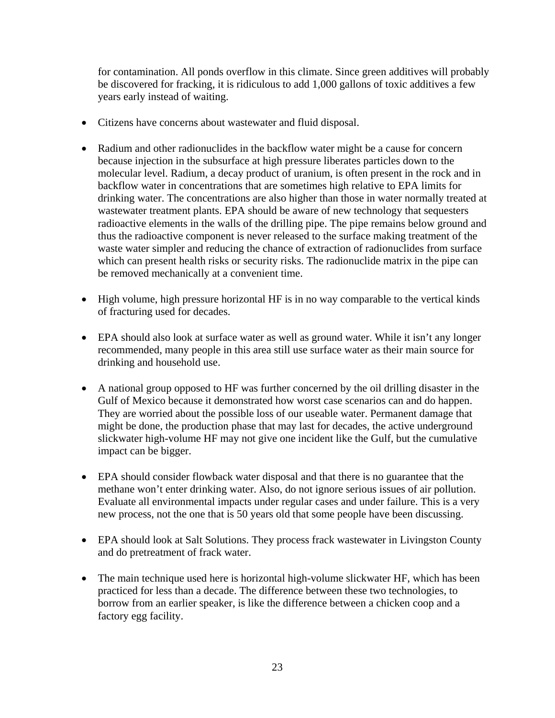for contamination. All ponds overflow in this climate. Since green additives will probably be discovered for fracking, it is ridiculous to add 1,000 gallons of toxic additives a few years early instead of waiting.

- Citizens have concerns about wastewater and fluid disposal.
- Radium and other radionuclides in the backflow water might be a cause for concern because injection in the subsurface at high pressure liberates particles down to the molecular level. Radium, a decay product of uranium, is often present in the rock and in backflow water in concentrations that are sometimes high relative to EPA limits for drinking water. The concentrations are also higher than those in water normally treated at wastewater treatment plants. EPA should be aware of new technology that sequesters radioactive elements in the walls of the drilling pipe. The pipe remains below ground and thus the radioactive component is never released to the surface making treatment of the waste water simpler and reducing the chance of extraction of radionuclides from surface which can present health risks or security risks. The radionuclide matrix in the pipe can be removed mechanically at a convenient time.
- High volume, high pressure horizontal HF is in no way comparable to the vertical kinds of fracturing used for decades.
- EPA should also look at surface water as well as ground water. While it isn't any longer recommended, many people in this area still use surface water as their main source for drinking and household use.
- A national group opposed to HF was further concerned by the oil drilling disaster in the Gulf of Mexico because it demonstrated how worst case scenarios can and do happen. They are worried about the possible loss of our useable water. Permanent damage that might be done, the production phase that may last for decades, the active underground slickwater high-volume HF may not give one incident like the Gulf, but the cumulative impact can be bigger.
- EPA should consider flowback water disposal and that there is no guarantee that the methane won't enter drinking water. Also, do not ignore serious issues of air pollution. Evaluate all environmental impacts under regular cases and under failure. This is a very new process, not the one that is 50 years old that some people have been discussing.
- EPA should look at Salt Solutions. They process frack wastewater in Livingston County and do pretreatment of frack water.
- The main technique used here is horizontal high-volume slickwater HF, which has been practiced for less than a decade. The difference between these two technologies, to borrow from an earlier speaker, is like the difference between a chicken coop and a factory egg facility.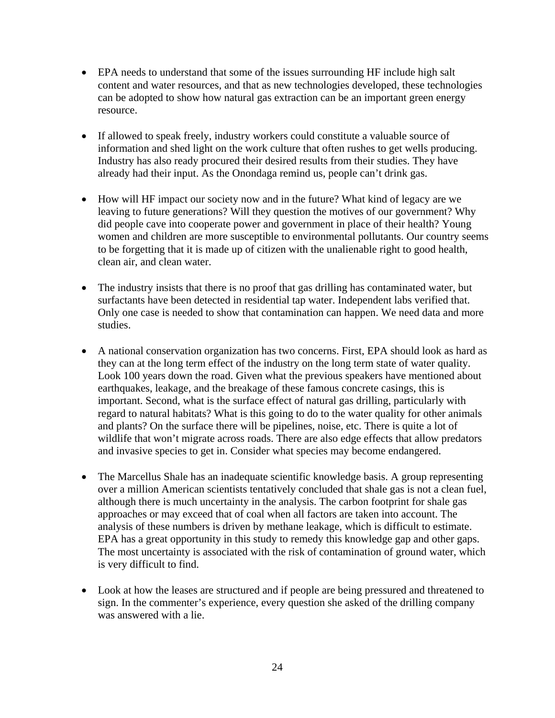- EPA needs to understand that some of the issues surrounding HF include high salt content and water resources, and that as new technologies developed, these technologies can be adopted to show how natural gas extraction can be an important green energy resource.
- If allowed to speak freely, industry workers could constitute a valuable source of information and shed light on the work culture that often rushes to get wells producing. Industry has also ready procured their desired results from their studies. They have already had their input. As the Onondaga remind us, people can't drink gas.
- How will HF impact our society now and in the future? What kind of legacy are we leaving to future generations? Will they question the motives of our government? Why did people cave into cooperate power and government in place of their health? Young women and children are more susceptible to environmental pollutants. Our country seems to be forgetting that it is made up of citizen with the unalienable right to good health, clean air, and clean water.
- The industry insists that there is no proof that gas drilling has contaminated water, but surfactants have been detected in residential tap water. Independent labs verified that. Only one case is needed to show that contamination can happen. We need data and more studies.
- A national conservation organization has two concerns. First, EPA should look as hard as they can at the long term effect of the industry on the long term state of water quality. Look 100 years down the road. Given what the previous speakers have mentioned about earthquakes, leakage, and the breakage of these famous concrete casings, this is important. Second, what is the surface effect of natural gas drilling, particularly with regard to natural habitats? What is this going to do to the water quality for other animals and plants? On the surface there will be pipelines, noise, etc. There is quite a lot of wildlife that won't migrate across roads. There are also edge effects that allow predators and invasive species to get in. Consider what species may become endangered.
- The Marcellus Shale has an inadequate scientific knowledge basis. A group representing over a million American scientists tentatively concluded that shale gas is not a clean fuel, although there is much uncertainty in the analysis. The carbon footprint for shale gas approaches or may exceed that of coal when all factors are taken into account. The analysis of these numbers is driven by methane leakage, which is difficult to estimate. EPA has a great opportunity in this study to remedy this knowledge gap and other gaps. The most uncertainty is associated with the risk of contamination of ground water, which is very difficult to find.
- Look at how the leases are structured and if people are being pressured and threatened to sign. In the commenter's experience, every question she asked of the drilling company was answered with a lie.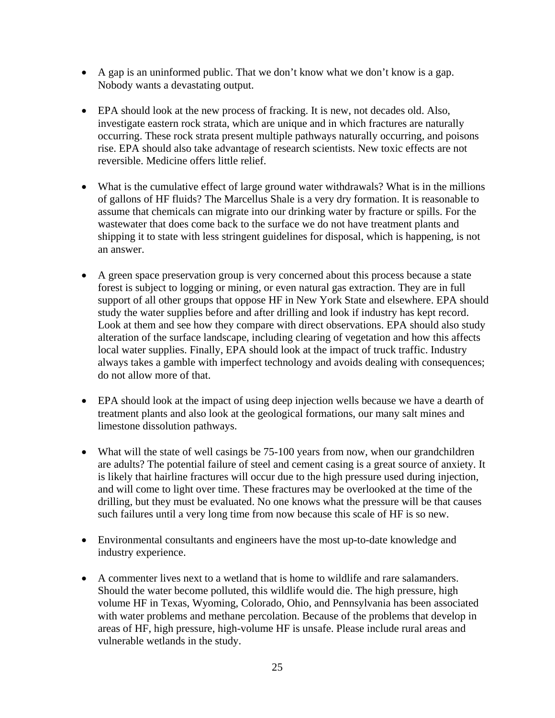- A gap is an uninformed public. That we don't know what we don't know is a gap. Nobody wants a devastating output.
- EPA should look at the new process of fracking. It is new, not decades old. Also, investigate eastern rock strata, which are unique and in which fractures are naturally occurring. These rock strata present multiple pathways naturally occurring, and poisons rise. EPA should also take advantage of research scientists. New toxic effects are not reversible. Medicine offers little relief.
- What is the cumulative effect of large ground water withdrawals? What is in the millions of gallons of HF fluids? The Marcellus Shale is a very dry formation. It is reasonable to assume that chemicals can migrate into our drinking water by fracture or spills. For the wastewater that does come back to the surface we do not have treatment plants and shipping it to state with less stringent guidelines for disposal, which is happening, is not an answer.
- A green space preservation group is very concerned about this process because a state forest is subject to logging or mining, or even natural gas extraction. They are in full support of all other groups that oppose HF in New York State and elsewhere. EPA should study the water supplies before and after drilling and look if industry has kept record. Look at them and see how they compare with direct observations. EPA should also study alteration of the surface landscape, including clearing of vegetation and how this affects local water supplies. Finally, EPA should look at the impact of truck traffic. Industry always takes a gamble with imperfect technology and avoids dealing with consequences; do not allow more of that.
- EPA should look at the impact of using deep injection wells because we have a dearth of treatment plants and also look at the geological formations, our many salt mines and limestone dissolution pathways.
- What will the state of well casings be 75-100 years from now, when our grandchildren are adults? The potential failure of steel and cement casing is a great source of anxiety. It is likely that hairline fractures will occur due to the high pressure used during injection, and will come to light over time. These fractures may be overlooked at the time of the drilling, but they must be evaluated. No one knows what the pressure will be that causes such failures until a very long time from now because this scale of HF is so new.
- Environmental consultants and engineers have the most up-to-date knowledge and industry experience.
- A commenter lives next to a wetland that is home to wildlife and rare salamanders. Should the water become polluted, this wildlife would die. The high pressure, high volume HF in Texas, Wyoming, Colorado, Ohio, and Pennsylvania has been associated with water problems and methane percolation. Because of the problems that develop in areas of HF, high pressure, high-volume HF is unsafe. Please include rural areas and vulnerable wetlands in the study.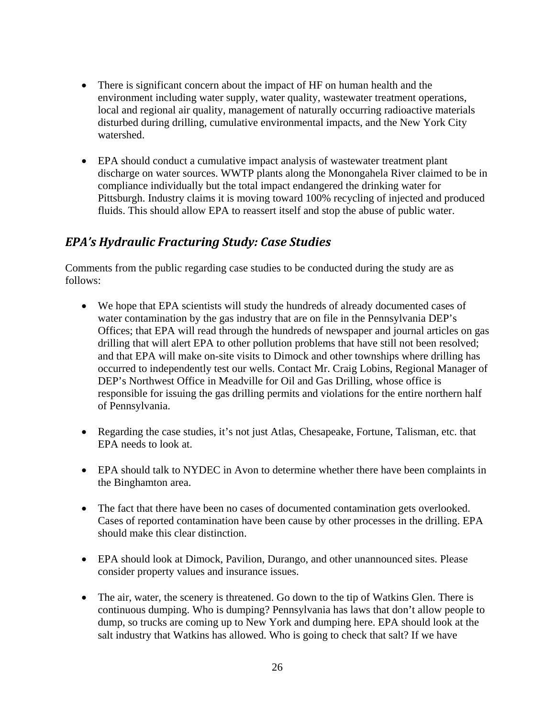- There is significant concern about the impact of HF on human health and the environment including water supply, water quality, wastewater treatment operations, local and regional air quality, management of naturally occurring radioactive materials disturbed during drilling, cumulative environmental impacts, and the New York City watershed.
- EPA should conduct a cumulative impact analysis of wastewater treatment plant discharge on water sources. WWTP plants along the Monongahela River claimed to be in compliance individually but the total impact endangered the drinking water for Pittsburgh. Industry claims it is moving toward 100% recycling of injected and produced fluids. This should allow EPA to reassert itself and stop the abuse of public water.

#### *EPA's Hydraulic Fracturing Study: Case Studies*

Comments from the public regarding case studies to be conducted during the study are as follows:

- We hope that EPA scientists will study the hundreds of already documented cases of water contamination by the gas industry that are on file in the Pennsylvania DEP's Offices; that EPA will read through the hundreds of newspaper and journal articles on gas drilling that will alert EPA to other pollution problems that have still not been resolved; and that EPA will make on-site visits to Dimock and other townships where drilling has occurred to independently test our wells. Contact Mr. Craig Lobins, Regional Manager of DEP's Northwest Office in Meadville for Oil and Gas Drilling, whose office is responsible for issuing the gas drilling permits and violations for the entire northern half of Pennsylvania.
- Regarding the case studies, it's not just Atlas, Chesapeake, Fortune, Talisman, etc. that EPA needs to look at.
- EPA should talk to NYDEC in Avon to determine whether there have been complaints in the Binghamton area.
- The fact that there have been no cases of documented contamination gets overlooked. Cases of reported contamination have been cause by other processes in the drilling. EPA should make this clear distinction.
- EPA should look at Dimock, Pavilion, Durango, and other unannounced sites. Please consider property values and insurance issues.
- The air, water, the scenery is threatened. Go down to the tip of Watkins Glen. There is continuous dumping. Who is dumping? Pennsylvania has laws that don't allow people to dump, so trucks are coming up to New York and dumping here. EPA should look at the salt industry that Watkins has allowed. Who is going to check that salt? If we have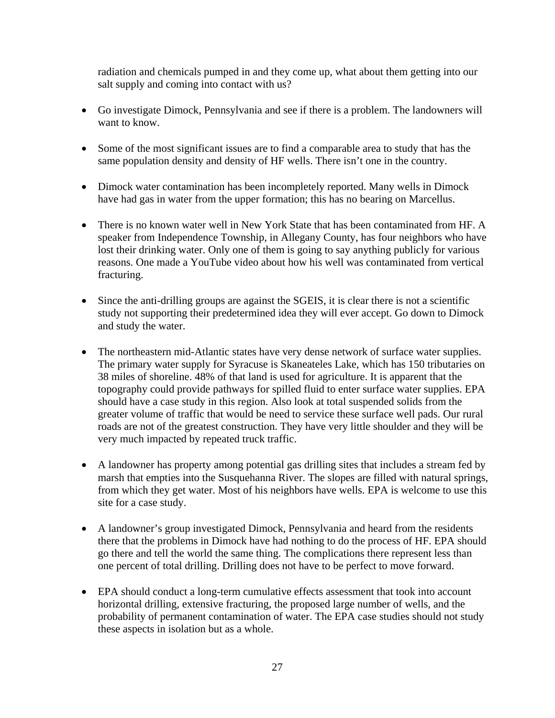radiation and chemicals pumped in and they come up, what about them getting into our salt supply and coming into contact with us?

- Go investigate Dimock, Pennsylvania and see if there is a problem. The landowners will want to know.
- Some of the most significant issues are to find a comparable area to study that has the same population density and density of HF wells. There isn't one in the country.
- Dimock water contamination has been incompletely reported. Many wells in Dimock have had gas in water from the upper formation; this has no bearing on Marcellus.
- There is no known water well in New York State that has been contaminated from HF. A speaker from Independence Township, in Allegany County, has four neighbors who have lost their drinking water. Only one of them is going to say anything publicly for various reasons. One made a YouTube video about how his well was contaminated from vertical fracturing.
- Since the anti-drilling groups are against the SGEIS, it is clear there is not a scientific study not supporting their predetermined idea they will ever accept. Go down to Dimock and study the water.
- The northeastern mid-Atlantic states have very dense network of surface water supplies. The primary water supply for Syracuse is Skaneateles Lake, which has 150 tributaries on 38 miles of shoreline. 48% of that land is used for agriculture. It is apparent that the topography could provide pathways for spilled fluid to enter surface water supplies. EPA should have a case study in this region. Also look at total suspended solids from the greater volume of traffic that would be need to service these surface well pads. Our rural roads are not of the greatest construction. They have very little shoulder and they will be very much impacted by repeated truck traffic.
- A landowner has property among potential gas drilling sites that includes a stream fed by marsh that empties into the Susquehanna River. The slopes are filled with natural springs, from which they get water. Most of his neighbors have wells. EPA is welcome to use this site for a case study.
- A landowner's group investigated Dimock, Pennsylvania and heard from the residents there that the problems in Dimock have had nothing to do the process of HF. EPA should go there and tell the world the same thing. The complications there represent less than one percent of total drilling. Drilling does not have to be perfect to move forward.
- EPA should conduct a long-term cumulative effects assessment that took into account horizontal drilling, extensive fracturing, the proposed large number of wells, and the probability of permanent contamination of water. The EPA case studies should not study these aspects in isolation but as a whole.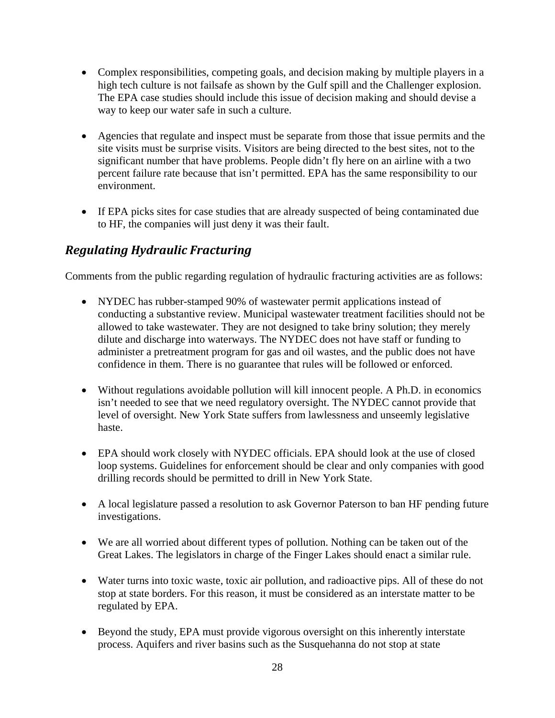- Complex responsibilities, competing goals, and decision making by multiple players in a high tech culture is not failsafe as shown by the Gulf spill and the Challenger explosion. The EPA case studies should include this issue of decision making and should devise a way to keep our water safe in such a culture.
- Agencies that regulate and inspect must be separate from those that issue permits and the site visits must be surprise visits. Visitors are being directed to the best sites, not to the significant number that have problems. People didn't fly here on an airline with a two percent failure rate because that isn't permitted. EPA has the same responsibility to our environment.
- If EPA picks sites for case studies that are already suspected of being contaminated due to HF, the companies will just deny it was their fault.

## *Regulating Hydraulic Fracturing*

Comments from the public regarding regulation of hydraulic fracturing activities are as follows:

- NYDEC has rubber-stamped 90% of wastewater permit applications instead of conducting a substantive review. Municipal wastewater treatment facilities should not be allowed to take wastewater. They are not designed to take briny solution; they merely dilute and discharge into waterways. The NYDEC does not have staff or funding to administer a pretreatment program for gas and oil wastes, and the public does not have confidence in them. There is no guarantee that rules will be followed or enforced.
- Without regulations avoidable pollution will kill innocent people. A Ph.D. in economics isn't needed to see that we need regulatory oversight. The NYDEC cannot provide that level of oversight. New York State suffers from lawlessness and unseemly legislative haste.
- EPA should work closely with NYDEC officials. EPA should look at the use of closed loop systems. Guidelines for enforcement should be clear and only companies with good drilling records should be permitted to drill in New York State.
- A local legislature passed a resolution to ask Governor Paterson to ban HF pending future investigations.
- We are all worried about different types of pollution. Nothing can be taken out of the Great Lakes. The legislators in charge of the Finger Lakes should enact a similar rule.
- Water turns into toxic waste, toxic air pollution, and radioactive pips. All of these do not stop at state borders. For this reason, it must be considered as an interstate matter to be regulated by EPA.
- Beyond the study, EPA must provide vigorous oversight on this inherently interstate process. Aquifers and river basins such as the Susquehanna do not stop at state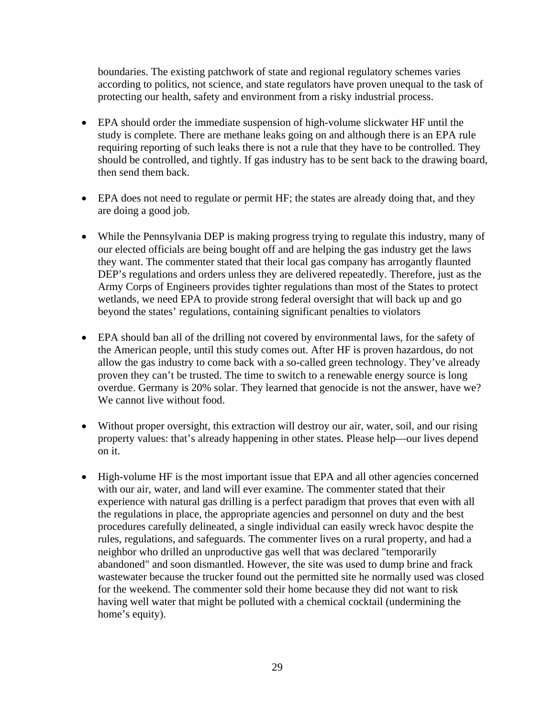boundaries. The existing patchwork of state and regional regulatory schemes varies according to politics, not science, and state regulators have proven unequal to the task of protecting our health, safety and environment from a risky industrial process.

- EPA should order the immediate suspension of high-volume slickwater HF until the study is complete. There are methane leaks going on and although there is an EPA rule requiring reporting of such leaks there is not a rule that they have to be controlled. They should be controlled, and tightly. If gas industry has to be sent back to the drawing board, then send them back.
- EPA does not need to regulate or permit HF; the states are already doing that, and they are doing a good job.
- While the Pennsylvania DEP is making progress trying to regulate this industry, many of our elected officials are being bought off and are helping the gas industry get the laws they want. The commenter stated that their local gas company has arrogantly flaunted DEP's regulations and orders unless they are delivered repeatedly. Therefore, just as the Army Corps of Engineers provides tighter regulations than most of the States to protect wetlands, we need EPA to provide strong federal oversight that will back up and go beyond the states' regulations, containing significant penalties to violators
- EPA should ban all of the drilling not covered by environmental laws, for the safety of the American people, until this study comes out. After HF is proven hazardous, do not allow the gas industry to come back with a so-called green technology. They've already proven they can't be trusted. The time to switch to a renewable energy source is long overdue. Germany is 20% solar. They learned that genocide is not the answer, have we? We cannot live without food.
- Without proper oversight, this extraction will destroy our air, water, soil, and our rising property values: that's already happening in other states. Please help—our lives depend on it.
- High-volume HF is the most important issue that EPA and all other agencies concerned with our air, water, and land will ever examine. The commenter stated that their experience with natural gas drilling is a perfect paradigm that proves that even with all the regulations in place, the appropriate agencies and personnel on duty and the best procedures carefully delineated, a single individual can easily wreck havoc despite the rules, regulations, and safeguards. The commenter lives on a rural property, and had a neighbor who drilled an unproductive gas well that was declared "temporarily abandoned" and soon dismantled. However, the site was used to dump brine and frack wastewater because the trucker found out the permitted site he normally used was closed for the weekend. The commenter sold their home because they did not want to risk having well water that might be polluted with a chemical cocktail (undermining the home's equity).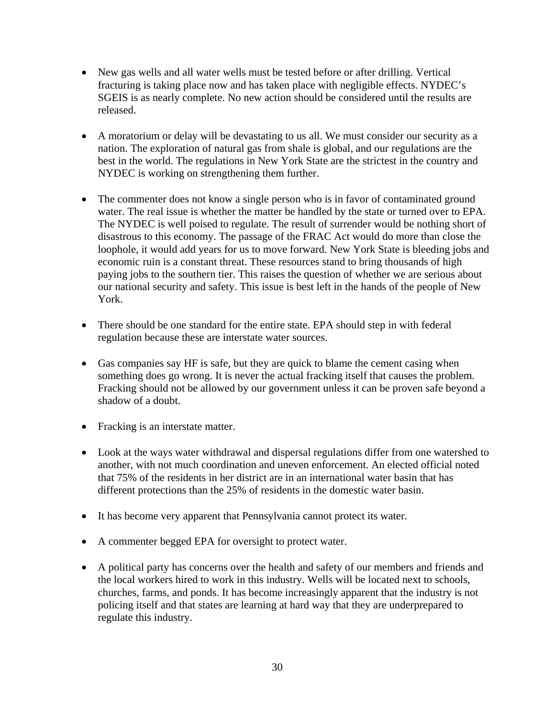- New gas wells and all water wells must be tested before or after drilling. Vertical fracturing is taking place now and has taken place with negligible effects. NYDEC's SGEIS is as nearly complete. No new action should be considered until the results are released.
- A moratorium or delay will be devastating to us all. We must consider our security as a nation. The exploration of natural gas from shale is global, and our regulations are the best in the world. The regulations in New York State are the strictest in the country and NYDEC is working on strengthening them further.
- The commenter does not know a single person who is in favor of contaminated ground water. The real issue is whether the matter be handled by the state or turned over to EPA. The NYDEC is well poised to regulate. The result of surrender would be nothing short of disastrous to this economy. The passage of the FRAC Act would do more than close the loophole, it would add years for us to move forward. New York State is bleeding jobs and economic ruin is a constant threat. These resources stand to bring thousands of high paying jobs to the southern tier. This raises the question of whether we are serious about our national security and safety. This issue is best left in the hands of the people of New York.
- There should be one standard for the entire state. EPA should step in with federal regulation because these are interstate water sources.
- Gas companies say HF is safe, but they are quick to blame the cement casing when something does go wrong. It is never the actual fracking itself that causes the problem. Fracking should not be allowed by our government unless it can be proven safe beyond a shadow of a doubt.
- Fracking is an interstate matter.
- Look at the ways water withdrawal and dispersal regulations differ from one watershed to another, with not much coordination and uneven enforcement. An elected official noted that 75% of the residents in her district are in an international water basin that has different protections than the 25% of residents in the domestic water basin.
- It has become very apparent that Pennsylvania cannot protect its water.
- A commenter begged EPA for oversight to protect water.
- A political party has concerns over the health and safety of our members and friends and the local workers hired to work in this industry. Wells will be located next to schools, churches, farms, and ponds. It has become increasingly apparent that the industry is not policing itself and that states are learning at hard way that they are underprepared to regulate this industry.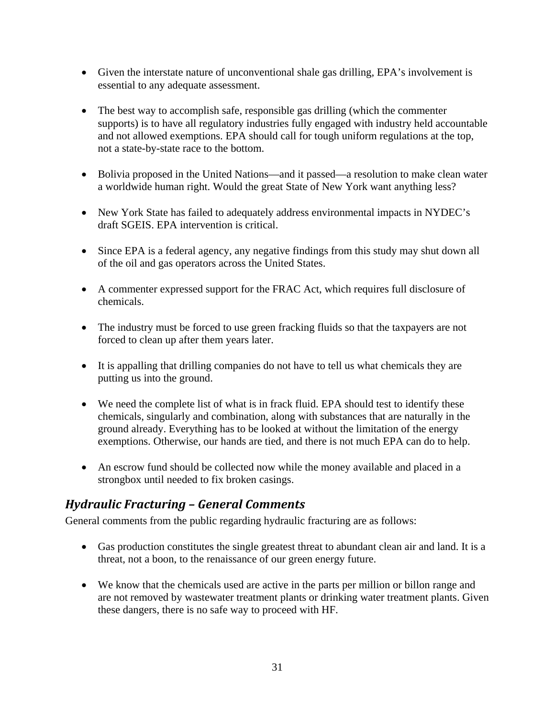- Given the interstate nature of unconventional shale gas drilling, EPA's involvement is essential to any adequate assessment.
- The best way to accomplish safe, responsible gas drilling (which the commenter supports) is to have all regulatory industries fully engaged with industry held accountable and not allowed exemptions. EPA should call for tough uniform regulations at the top, not a state-by-state race to the bottom.
- Bolivia proposed in the United Nations—and it passed—a resolution to make clean water a worldwide human right. Would the great State of New York want anything less?
- New York State has failed to adequately address environmental impacts in NYDEC's draft SGEIS. EPA intervention is critical.
- Since EPA is a federal agency, any negative findings from this study may shut down all of the oil and gas operators across the United States.
- A commenter expressed support for the FRAC Act, which requires full disclosure of chemicals.
- The industry must be forced to use green fracking fluids so that the taxpayers are not forced to clean up after them years later.
- It is appalling that drilling companies do not have to tell us what chemicals they are putting us into the ground.
- We need the complete list of what is in frack fluid. EPA should test to identify these chemicals, singularly and combination, along with substances that are naturally in the ground already. Everything has to be looked at without the limitation of the energy exemptions. Otherwise, our hands are tied, and there is not much EPA can do to help.
- An escrow fund should be collected now while the money available and placed in a strongbox until needed to fix broken casings.

### *Hydraulic Fracturing – General Comments*

General comments from the public regarding hydraulic fracturing are as follows:

- Gas production constitutes the single greatest threat to abundant clean air and land. It is a threat, not a boon, to the renaissance of our green energy future.
- We know that the chemicals used are active in the parts per million or billon range and are not removed by wastewater treatment plants or drinking water treatment plants. Given these dangers, there is no safe way to proceed with HF.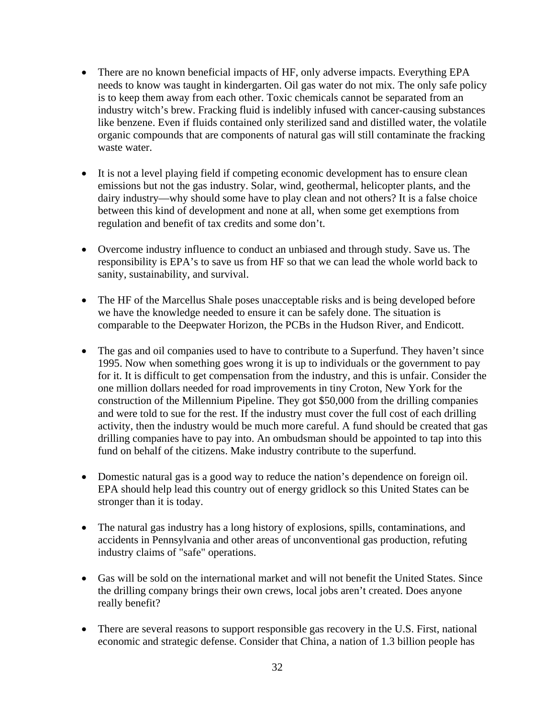- There are no known beneficial impacts of HF, only adverse impacts. Everything EPA needs to know was taught in kindergarten. Oil gas water do not mix. The only safe policy is to keep them away from each other. Toxic chemicals cannot be separated from an industry witch's brew. Fracking fluid is indelibly infused with cancer-causing substances like benzene. Even if fluids contained only sterilized sand and distilled water, the volatile organic compounds that are components of natural gas will still contaminate the fracking waste water.
- It is not a level playing field if competing economic development has to ensure clean emissions but not the gas industry. Solar, wind, geothermal, helicopter plants, and the dairy industry—why should some have to play clean and not others? It is a false choice between this kind of development and none at all, when some get exemptions from regulation and benefit of tax credits and some don't.
- Overcome industry influence to conduct an unbiased and through study. Save us. The responsibility is EPA's to save us from HF so that we can lead the whole world back to sanity, sustainability, and survival.
- The HF of the Marcellus Shale poses unacceptable risks and is being developed before we have the knowledge needed to ensure it can be safely done. The situation is comparable to the Deepwater Horizon, the PCBs in the Hudson River, and Endicott.
- The gas and oil companies used to have to contribute to a Superfund. They haven't since 1995. Now when something goes wrong it is up to individuals or the government to pay for it. It is difficult to get compensation from the industry, and this is unfair. Consider the one million dollars needed for road improvements in tiny Croton, New York for the construction of the Millennium Pipeline. They got \$50,000 from the drilling companies and were told to sue for the rest. If the industry must cover the full cost of each drilling activity, then the industry would be much more careful. A fund should be created that gas drilling companies have to pay into. An ombudsman should be appointed to tap into this fund on behalf of the citizens. Make industry contribute to the superfund.
- Domestic natural gas is a good way to reduce the nation's dependence on foreign oil. EPA should help lead this country out of energy gridlock so this United States can be stronger than it is today.
- The natural gas industry has a long history of explosions, spills, contaminations, and accidents in Pennsylvania and other areas of unconventional gas production, refuting industry claims of "safe" operations.
- Gas will be sold on the international market and will not benefit the United States. Since the drilling company brings their own crews, local jobs aren't created. Does anyone really benefit?
- There are several reasons to support responsible gas recovery in the U.S. First, national economic and strategic defense. Consider that China, a nation of 1.3 billion people has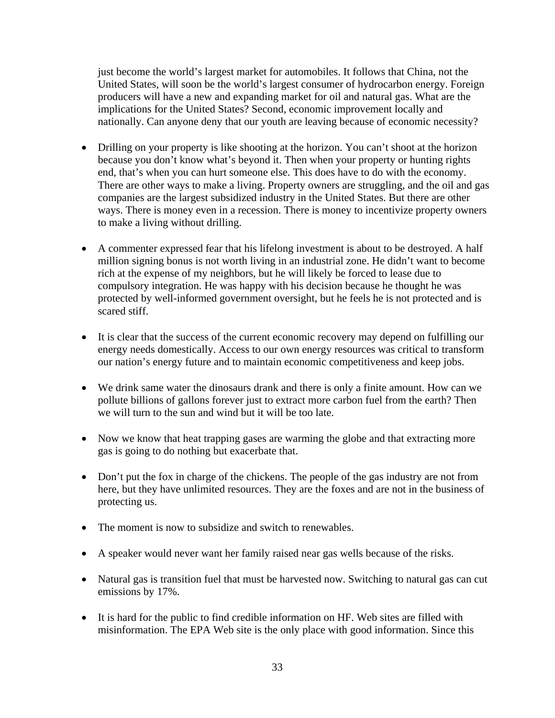just become the world's largest market for automobiles. It follows that China, not the United States, will soon be the world's largest consumer of hydrocarbon energy. Foreign producers will have a new and expanding market for oil and natural gas. What are the implications for the United States? Second, economic improvement locally and nationally. Can anyone deny that our youth are leaving because of economic necessity?

- Drilling on your property is like shooting at the horizon. You can't shoot at the horizon because you don't know what's beyond it. Then when your property or hunting rights end, that's when you can hurt someone else. This does have to do with the economy. There are other ways to make a living. Property owners are struggling, and the oil and gas companies are the largest subsidized industry in the United States. But there are other ways. There is money even in a recession. There is money to incentivize property owners to make a living without drilling.
- A commenter expressed fear that his lifelong investment is about to be destroyed. A half million signing bonus is not worth living in an industrial zone. He didn't want to become rich at the expense of my neighbors, but he will likely be forced to lease due to compulsory integration. He was happy with his decision because he thought he was protected by well-informed government oversight, but he feels he is not protected and is scared stiff.
- It is clear that the success of the current economic recovery may depend on fulfilling our energy needs domestically. Access to our own energy resources was critical to transform our nation's energy future and to maintain economic competitiveness and keep jobs.
- We drink same water the dinosaurs drank and there is only a finite amount. How can we pollute billions of gallons forever just to extract more carbon fuel from the earth? Then we will turn to the sun and wind but it will be too late.
- Now we know that heat trapping gases are warming the globe and that extracting more gas is going to do nothing but exacerbate that.
- Don't put the fox in charge of the chickens. The people of the gas industry are not from here, but they have unlimited resources. They are the foxes and are not in the business of protecting us.
- The moment is now to subsidize and switch to renewables.
- A speaker would never want her family raised near gas wells because of the risks.
- Natural gas is transition fuel that must be harvested now. Switching to natural gas can cut emissions by 17%.
- It is hard for the public to find credible information on HF. Web sites are filled with misinformation. The EPA Web site is the only place with good information. Since this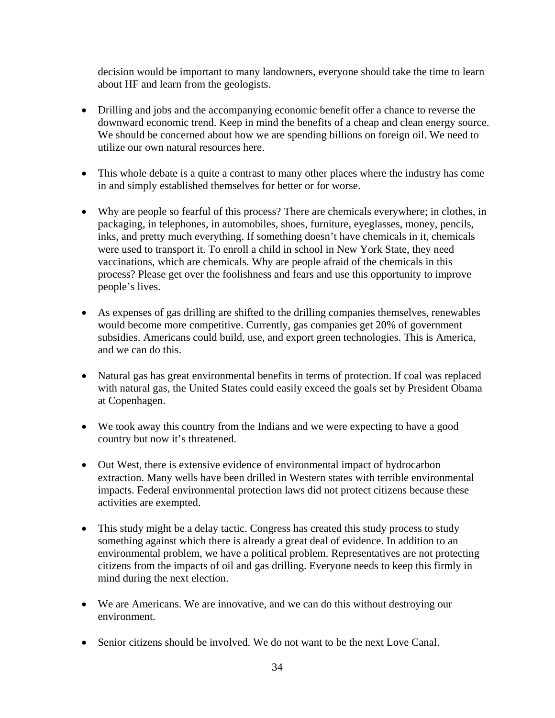decision would be important to many landowners, everyone should take the time to learn about HF and learn from the geologists.

- Drilling and jobs and the accompanying economic benefit offer a chance to reverse the downward economic trend. Keep in mind the benefits of a cheap and clean energy source. We should be concerned about how we are spending billions on foreign oil. We need to utilize our own natural resources here.
- This whole debate is a quite a contrast to many other places where the industry has come in and simply established themselves for better or for worse.
- Why are people so fearful of this process? There are chemicals everywhere; in clothes, in packaging, in telephones, in automobiles, shoes, furniture, eyeglasses, money, pencils, inks, and pretty much everything. If something doesn't have chemicals in it, chemicals were used to transport it. To enroll a child in school in New York State, they need vaccinations, which are chemicals. Why are people afraid of the chemicals in this process? Please get over the foolishness and fears and use this opportunity to improve people's lives.
- As expenses of gas drilling are shifted to the drilling companies themselves, renewables would become more competitive. Currently, gas companies get 20% of government subsidies. Americans could build, use, and export green technologies. This is America, and we can do this.
- Natural gas has great environmental benefits in terms of protection. If coal was replaced with natural gas, the United States could easily exceed the goals set by President Obama at Copenhagen.
- We took away this country from the Indians and we were expecting to have a good country but now it's threatened.
- Out West, there is extensive evidence of environmental impact of hydrocarbon extraction. Many wells have been drilled in Western states with terrible environmental impacts. Federal environmental protection laws did not protect citizens because these activities are exempted.
- This study might be a delay tactic. Congress has created this study process to study something against which there is already a great deal of evidence. In addition to an environmental problem, we have a political problem. Representatives are not protecting citizens from the impacts of oil and gas drilling. Everyone needs to keep this firmly in mind during the next election.
- We are Americans. We are innovative, and we can do this without destroying our environment.
- Senior citizens should be involved. We do not want to be the next Love Canal.